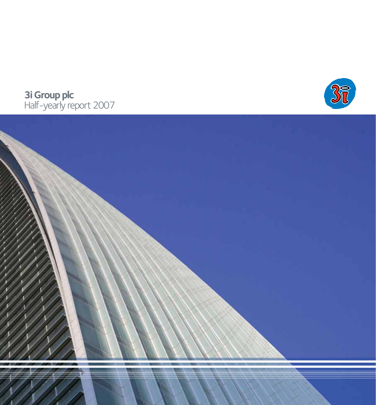

# **3i Group plc**  Half-yearly report 2007

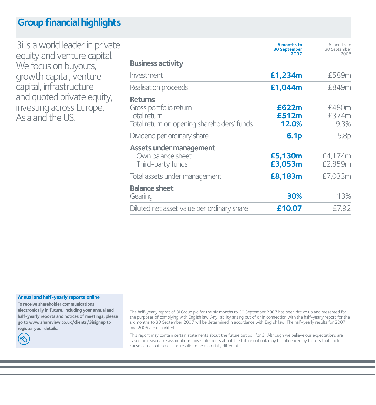# **Group financial highlights**

3i is a world leader in private equity and venture capital. We focus on buyouts, growth capital, venture capital, infrastructure and quoted private equity, investing across Europe, Asia and the US.

|                                                                                                         | 6 months to<br><b>30 September</b><br>2007 | 6 months to<br>30 September<br>2006 |
|---------------------------------------------------------------------------------------------------------|--------------------------------------------|-------------------------------------|
| <b>Business activity</b>                                                                                |                                            |                                     |
| Investment                                                                                              | £1,234m                                    | £589m                               |
| Realisation proceeds                                                                                    | £1,044m                                    | £849m                               |
| <b>Returns</b><br>Gross portfolio return<br>Total return<br>Total return on opening shareholders' funds | £622m<br>£512m<br>12.0%                    | £480m<br>£374m<br>9.3%              |
| Dividend per ordinary share                                                                             | 6.1 <sub>p</sub>                           | 5.8p                                |
| <b>Assets under management</b><br>Own balance sheet<br>Third-party funds                                | £5,130m<br>£3,053m                         | £4,174m<br>£2,859m                  |
| Total assets under management                                                                           | £8,183m                                    | £7,033m                             |
| <b>Balance sheet</b><br>Gearing                                                                         | 30%                                        | 13%                                 |
| Diluted net asset value per ordinary share                                                              | £10.07                                     | £7.92                               |

**Annual and half-yearly reports online** 

**To receive shareholder communications electronically in future, including your annual and half-yearly reports and notices of meetings, please go to www.shareview.co.uk/clients/3isignup to register your details.**

(ඏ

The half-yearly report of 3i Group plc for the six months to 30 September 2007 has been drawn up and presented for the purposes of complying with English law. Any liability arising out of or in connection with the half-yearly report for the six months to 30 September 2007 will be determined in accordance with English law. The half-yearly results for 2007 and 2006 are unaudited.

This report may contain certain statements about the future outlook for 3i. Although we believe our expectations are based on reasonable assumptions, any statements about the future outlook may be influenced by factors that could cause actual outcomes and results to be materially different.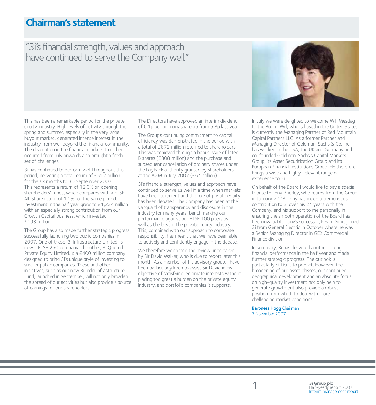# **Chairman's statement**

## "3i's financial strength, values and approach have continued to serve the Company well."

This has been a remarkable period for the private equity industry. High levels of activity through the spring and summer, especially in the very large buyout market, generated intense interest in the industry from well beyond the financial community. The dislocation in the financial markets that then occurred from July onwards also brought a fresh set of challenges.

3i has continued to perform well throughout this period, delivering a total return of £512 million for the six months to 30 September 2007. This represents a return of 12.0% on opening shareholders' funds, which compares with a FTSE All-Share return of 1.0% for the same period. Investment in the half year grew to £1,234 million with an especially strong contribution from our Growth Capital business, which invested £493 million.

The Group has also made further strategic progress, successfully launching two public companies in 2007. One of these, 3i Infrastructure Limited, is now a FTSE 250 company. The other, 3i Quoted Private Equity Limited, is a £400 million company designed to bring 3i's unique style of investing to smaller public companies. These and other initiatives, such as our new 3i India Infrastructure Fund, launched in September, will not only broaden the spread of our activities but also provide a source of earnings for our shareholders.

The Directors have approved an interim dividend of 6.1p per ordinary share up from 5.8p last year.

The Group's continuing commitment to capital efficiency was demonstrated in the period with a total of £872 million returned to shareholders. This was achieved through a bonus issue of listed B shares (£808 million) and the purchase and subsequent cancellation of ordinary shares under the buyback authority granted by shareholders at the AGM in July 2007 (£64 million).

3i's financial strength, values and approach have continued to serve us well in a time when markets have been turbulent and the role of private equity has been debated. The Company has been at the vanguard of transparency and disclosure in the industry for many years, benchmarking our performance against our FTSE 100 peers as well as the best in the private equity industry. This, combined with our approach to corporate responsibility, has meant that we have been able to actively and confidently engage in the debate.

We therefore welcomed the review undertaken by Sir David Walker, who is due to report later this month. As a member of his advisory group, I have been particularly keen to assist Sir David in his objective of satisfying legitimate interests without placing too great a burden on the private equity industry, and portfolio companies it supports.



In July we were delighted to welcome Will Mesdag to the Board. Will, who is based in the United States, is currently the Managing Partner of Red Mountain Capital Partners LLC. As a former Partner and Managing Director of Goldman, Sachs & Co., he has worked in the USA, the UK and Germany and co-founded Goldman, Sachs's Capital Markets Group, its Asset Securitization Group and its European Financial Institutions Group. He therefore brings a wide and highly-relevant range of experience to 3i.

On behalf of the Board I would like to pay a special tribute to Tony Brierley, who retires from the Group in January 2008. Tony has made a tremendous contribution to 3i over his 24 years with the Company, and his support to me personally in ensuring the smooth operation of the Board has been invaluable. Tony's successor, Kevin Dunn, joined 3i from General Electric in October where he was a Senior Managing Director in GE's Commercial Finance division.

In summary, 3i has delivered another strong financial performance in the half year and made further strategic progress. The outlook is particularly difficult to predict. However, the broadening of our asset classes, our continued geographical development and an absolute focus on high-quality investment not only help to generate growth but also provide a robust position from which to deal with more challenging market conditions.

**Baroness Hogg** Chairman 7 November 2007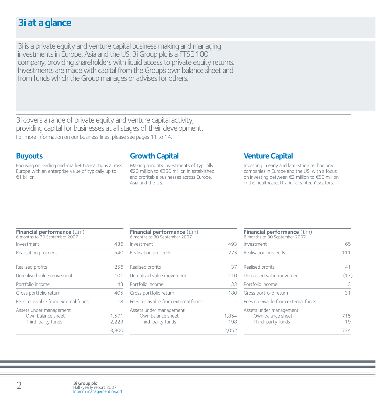# **3i at a glance**

3i is a private equity and venture capital business making and managing investments in Europe, Asia and the US. 3i Group plc is a FTSE 100 company, providing shareholders with liquid access to private equity returns. Investments are made with capital from the Group's own balance sheet and from funds which the Group manages or advises for others.

3i covers a range of private equity and venture capital activity, providing capital for businesses at all stages of their development. For more information on our business lines, please see pages 11 to 14.

### **Buyouts**

Focusing on leading mid-market transactions across Europe with an enterprise value of typically up to  $\epsilon$ 1 billion.

## **Growth Capital**

Making minority investments of typically €20 million to €250 million in established and profitable businesses across Europe, Asia and the US.

## **Venture Capital**

Investing in early and late-stage technology companies in Europe and the US, with a focus on investing between  $\epsilon$ 2 million to  $\epsilon$ 50 million in the healthcare, IT and "cleantech" sectors.

| Financial performance (£m)<br>6 months to 30 September 2007       |                |
|-------------------------------------------------------------------|----------------|
| Investment                                                        | 436            |
| Realisation proceeds                                              | 540            |
| Realised profits                                                  | 256            |
| Unrealised value movement                                         | 101            |
| Portfolio income                                                  | 48             |
| Gross portfolio return                                            | 405            |
| Fees receivable from external funds                               | 18             |
| Assets under management<br>Own balance sheet<br>Third-party funds | 1,571<br>2,229 |
|                                                                   | 3.800          |

| Financial performance (£m)<br>6 months to 30 September 2007       |              |
|-------------------------------------------------------------------|--------------|
| Investment                                                        | 493          |
| Realisation proceeds                                              | 273          |
| Realised profits                                                  | 37           |
| Unrealised value movement                                         | 110          |
| Portfolio income                                                  | 33           |
| Gross portfolio return                                            | 180          |
| Fees receivable from external funds                               |              |
| Assets under management<br>Own balance sheet<br>Third-party funds | 1,854<br>198 |
|                                                                   | 2,052        |

| Financial performance (£m)<br>6 months to 30 September 2007       |           |
|-------------------------------------------------------------------|-----------|
| Investment                                                        | 65        |
| Realisation proceeds                                              | 111       |
| Realised profits                                                  | 41        |
| Unrealised value movement                                         | (13)      |
| Portfolio income                                                  | 3         |
| Gross portfolio return                                            | 31        |
| Fees receivable from external funds                               |           |
| Assets under management<br>Own balance sheet<br>Third-party funds | 715<br>19 |
|                                                                   | 73        |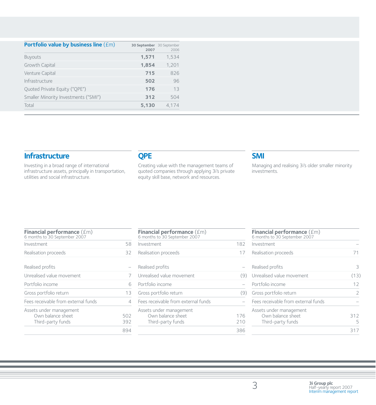| Portfolio value by business line (£m) | 30 September 30 September<br>2007 | 2006  |
|---------------------------------------|-----------------------------------|-------|
| <b>Buyouts</b>                        | 1,571                             | 1,534 |
| Growth Capital                        | 1,854                             | 1,201 |
| Venture Capital                       | 715                               | 826   |
| Infrastructure                        | 502                               | 96    |
| Ouoted Private Equity ("OPE")         | 176                               | 13    |
| Smaller Minority Investments ("SMI")  | 312                               | 504   |
| Total                                 | 5,130                             | 4,174 |

## **Infrastructure**

Investing in a broad range of international infrastructure assets, principally in transportation, utilities and social infrastructure.

## **QPE**

Creating value with the management teams of quoted companies through applying 3i's private equity skill base, network and resources.

## **SMI**

Managing and realising 3i's older smaller minority investments.

| <b>Financial performance (£m)</b><br>6 months to 30 September 2007 |            |
|--------------------------------------------------------------------|------------|
| Investment                                                         | 58         |
| Realisation proceeds                                               | 32         |
| Realised profits                                                   |            |
| Unrealised value movement                                          |            |
| Portfolio income                                                   | 6          |
| Gross portfolio return                                             | 13         |
| Fees receivable from external funds                                | 4          |
| Assets under management<br>Own balance sheet<br>Third-party funds  | 502<br>392 |
|                                                                    | 894        |

| <b>Financial performance</b> $(fm)$<br>6 months to 30 September 2007 |            |
|----------------------------------------------------------------------|------------|
| Investment                                                           | 182        |
| Realisation proceeds                                                 | 17         |
| Realised profits                                                     |            |
| Unrealised value movement                                            | (9)        |
| Portfolio income                                                     |            |
| Gross portfolio return                                               | (9)        |
| Fees receivable from external funds                                  |            |
| Assets under management<br>Own balance sheet<br>Third-party funds    | 176<br>710 |
|                                                                      | 386        |

| Financial performance (£m)<br>6 months to 30 September 2007       |               |
|-------------------------------------------------------------------|---------------|
| Investment                                                        |               |
| Realisation proceeds                                              |               |
| Realised profits                                                  | 3             |
| Unrealised value movement                                         | (13)          |
| Portfolio income                                                  | 12            |
| Gross portfolio return                                            | $\mathcal{P}$ |
| Fees receivable from external funds                               |               |
| Assets under management<br>Own balance sheet<br>Third-party funds | 312           |
|                                                                   |               |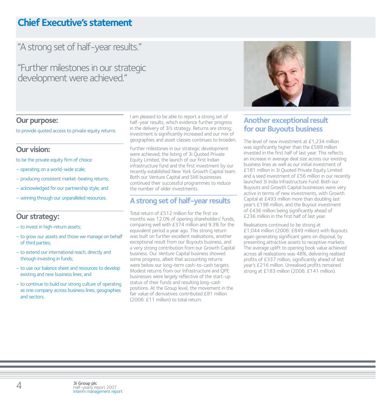# **Chief Executive's statement**

# "A strong set of half-year results."

"Further milestones in our strategic development were achieved."

### **Our purpose:**

to provide quoted access to private equity returns.

## **Our vision:**

to be the private equity firm of choice:

- operating on a world-wide scale;
- producing consistent market-beating returns;
- acknowledged for our partnership style; and
- winning through our unparalleled resources.

## **Our strategy:**

- to invest in high-return assets;
- to grow our assets and those we manage on behalf of third parties;
- to extend our international reach, directly and through investing in funds;
- to use our balance sheet and resources to develop existing and new business lines; and
- to continue to build our strong culture of operating as one company across business lines, geographies and sectors.

I am pleased to be able to report a strong set of half-year results, which evidence further progress in the delivery of 3i's strategy. Returns are strong; investment is significantly increased and our mix of geographies and asset classes continues to broaden.

Further milestones in our strategic development were achieved; the listing of 3i Quoted Private Equity Limited, the launch of our first Indian infrastructure fund and the first investment by our recently established New York Growth Capital team. Both our Venture Capital and SMI businesses continued their successful programmes to reduce the number of older investments.

## **A strong set of half-year results**

Total return of £512 million for the first six months was 12.0% of opening shareholders' funds, comparing well with £374 million and 9.3% for the equivalent period a year ago. This strong return was built on further excellent realisations, another exceptional result from our Buyouts business, and a very strong contribution from our Growth Capital business. Our Venture Capital business showed some progress, albeit that accounting returns were below our long-term cash-to-cash targets. Modest returns from our Infrastructure and QPE businesses were largely reflective of the start-up status of their funds and resulting long-cash positions. At the Group level, the movement in the fair value of derivatives contributed £81 million (2006: £11 million) to total return.



## **Another exceptional result for our Buyouts business**

The level of new investment at £1,234 million was significantly higher than the £589 million invested in the first half of last year. This reflects an increase in average deal size across our existing business lines as well as our initial investment of £181 million in 3i Quoted Private Equity Limited and a seed investment of £56 million in our recently launched 3i India Infrastructure Fund. Both our Buyouts and Growth Capital businesses were very active in terms of new investments, with Growth Capital at £493 million more than doubling last year's £198 million, and the Buyout investment of £436 million being significantly ahead of £236 million in the first half of last year.

Realisations continued to be strong at £1,044 million (2006: £849 million) with Buyouts again generating significant gains on disposal, by presenting attractive assets to receptive markets. The average uplift to opening book value achieved across all realisations was 48%, delivering realised profits of £337 million, significantly ahead of last year's £216 million. Unrealised profits remained strong at £183 million (2006: £141 million).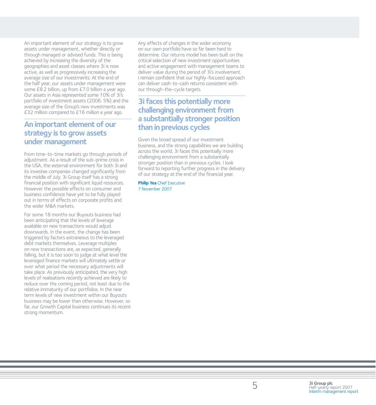An important element of our strategy is to grow assets under management, whether directly or through managed or advised funds. This is being achieved by increasing the diversity of the geographies and asset classes where 3i is now active, as well as progressively increasing the average size of our investments. At the end of the half year, our assets under management were some £8.2 billion, up from £7.0 billion a year ago. Our assets in Asia represented some 10% of 3i's portfolio of investment assets (2006: 5%) and the average size of the Group's new investments was £32 million compared to £16 million a year ago.

## **An important element of our strategy is to grow assets under management**

From time-to-time markets go through periods of adjustment. As a result of the sub-prime crisis in the USA, the external environment for both 3i and its investee companies changed significantly from the middle of July. 3i Group itself has a strong financial position with significant liquid resources. However the possible effects on consumer and business confidence have yet to be fully played out in terms of effects on corporate profits and the wider M&A markets.

For some 18 months our Buyouts business had been anticipating that the levels of leverage available on new transactions would adjust downwards. In the event, the change has been triggered by factors extraneous to the leveraged debt markets themselves. Leverage multiples on new transactions are, as expected, generally falling, but it is too soon to judge at what level the leveraged finance markets will ultimately settle or over what period the necessary adjustments will take place. As previously anticipated, the very high levels of realisations recently achieved are likely to reduce over the coming period, not least due to the relative immaturity of our portfolios. In the near term levels of new investment within our Buyouts business may be lower than otherwise. However, so far, our Growth Capital business continues its recent strong momentum.

Any effects of changes in the wider economy on our own portfolio have so far been hard to determine. Our returns model has been built on the critical selection of new investment opportunities and active engagement with management teams to deliver value during the period of 3i's involvement. I remain confident that our highly-focused approach can deliver cash-to-cash returns consistent with our through-the-cycle targets.

## **3i faces this potentially more challenging environment from a substantially stronger position than in previous cycles**

Given the broad spread of our investment business, and the strong capabilities we are building across the world, 3i faces this potentially more challenging environment from a substantially stronger position than in previous cycles. I look forward to reporting further progress in the delivery of our strategy at the end of the financial year.

**Philip Yea** Chief Executive 7 November 2007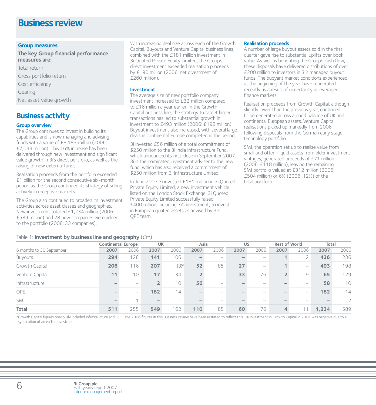## **Business review**

### **Group measures**

**The key Group financial performance measures are:**

Total return Gross portfolio return Cost efficiency **Gearing** Net asset value growth

## **Business activity**

### **Group overview**

The Group continues to invest in building its capabilities and is now managing and advising funds with a value of £8,183 million (2006: £7,033 million). This 16% increase has been delivered through new investment and significant value growth in 3i's direct portfolio, as well as the raising of new external funds.

Realisation proceeds from the portfolio exceeded £1 billion for the second consecutive six-month period as the Group continued its strategy of selling actively in receptive markets.

The Group also continued to broaden its investment activities across asset classes and geographies. New investment totalled £1,234 million (2006: £589 million) and 28 new companies were added to the portfolio (2006: 33 companies).

With increasing deal size across each of the Growth Capital, Buyouts and Venture Capital business lines, combined with the £181 million investment in 3i Quoted Private Equity Limited, the Group's direct investment exceeded realisation proceeds by £190 million (2006: net divestment of £260 million).

### **Investment**

The average size of new portfolio company investment increased to £32 million compared to £16 million a year earlier. In the Growth Capital business line, the strategy to target larger transactions has led to substantial growth in investment to £493 million (2006: £198 million). Buyout investment also increased, with several large deals in continental Europe completed in the period.

3i invested £56 million of a total commitment of \$250 million to the 3i India Infrastructure Fund which announced its first close in September 2007. 3i is the nominated investment adviser to the new fund, which has also received a commitment of \$250 million from 3i Infrastructure Limited.

In June 2007 3i invested £181 million in 3i Quoted Private Equity Limited, a new investment vehicle listed on the London Stock Exchange. 3i Quoted Private Equity Limited successfully raised £400 million, including 3i's investment, to invest in European quoted assets as advised by 3i's QPE team.

### **Realisation proceeds**

A number of large buyout assets sold in the first quarter gave rise to substantial uplifts over book value. As well as benefiting the Group's cash flow, these disposals have delivered distributions of over £200 million to investors in 3i's managed buyout funds. The buoyant market conditions experienced at the beginning of the year have moderated recently as a result of uncertainty in leveraged finance markets.

Realisation proceeds from Growth Capital, although slightly lower than the previous year, continued to be generated across a good balance of UK and continental European assets. Venture Capital realisations picked up markedly from 2006 following disposals from the German early stage technology portfolio.

SMI, the operation set up to realise value from small and often illiquid assets from older investment vintages, generated proceeds of £71 million (2006: £118 million), leaving the remaining SMI portfolio valued at £312 million (2006: £504 million) or 6% (2006: 12%) of the total portfolio.

| Table 1: <b>Investment by business line and geography</b> $(fm)$ |                          |                           |        |                |      |                          |      |                          |                |                                 |       |                |  |
|------------------------------------------------------------------|--------------------------|---------------------------|--------|----------------|------|--------------------------|------|--------------------------|----------------|---------------------------------|-------|----------------|--|
|                                                                  |                          | <b>Continental Europe</b> |        | <b>UK</b>      |      | Asia                     |      | <b>US</b>                |                | <b>Rest of World</b>            |       | <b>Total</b>   |  |
| 6 months to 30 September                                         | 2007                     | 2006                      | 2007   | 2006           | 2007 | 2006                     | 2007 | 2006                     | 2007           | 2006                            | 2007  | 2006           |  |
| Buyouts                                                          | 294                      | 128                       | 141    | 106            |      |                          |      |                          |                |                                 | 436   | 236            |  |
| Growth Capital                                                   | 206                      | 116                       | 207    | $(3)$ *        | 52   | 85                       | 27   | $\overline{\phantom{a}}$ |                | $\overline{\phantom{a}}$        | 493   | 198            |  |
| Venture Capital                                                  | 11                       | 10                        | 17     | 34             |      | $\overline{\phantom{0}}$ | 33   | 76                       | $\overline{2}$ | 9                               | 65    | 129            |  |
| Infrastructure                                                   |                          | $\overline{\phantom{0}}$  |        | 10             | 56   | -                        |      | $\overline{\phantom{a}}$ |                | $\overline{\phantom{a}}$        | 58    | 10             |  |
| QPE                                                              | $\overline{\phantom{0}}$ | $\overline{\phantom{a}}$  | 182    | 14             |      |                          |      | $\overline{\phantom{a}}$ |                | $\hspace{0.1mm}-\hspace{0.1mm}$ | 182   | 14             |  |
| SMI                                                              |                          | $\overline{ }$            | $\sim$ | $\overline{ }$ |      |                          |      | $\overline{\phantom{a}}$ |                |                                 |       | $\overline{2}$ |  |
| <b>Total</b>                                                     | 511                      | 255                       | 549    | 162            | 110  | 85                       | 60   | 76                       | $\overline{4}$ | 11                              | 1,234 | 589            |  |

\*Growth Capital figures previously included Infrastructure and QPE. The 2006 figures in this Business review have been restated to reflect this. UK investment in Growth Capital in 2006 was negative due to a syndication of an earlier investment.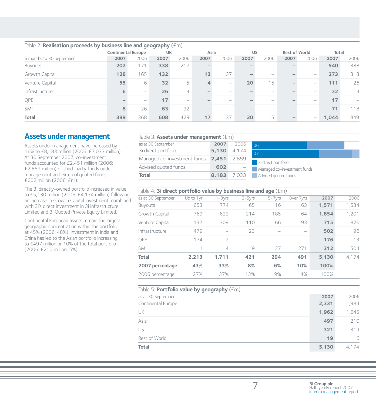|                          | <b>Continental Europe</b> |                          | <b>UK</b> |                          | Asia                     |      | <b>US</b> |                                                                           | <b>Rest of World</b> |                          | Total |                          |
|--------------------------|---------------------------|--------------------------|-----------|--------------------------|--------------------------|------|-----------|---------------------------------------------------------------------------|----------------------|--------------------------|-------|--------------------------|
| 6 months to 30 September | 2007                      | 2006                     | 2007      | 2006                     | 2007                     | 2006 | 2007      | 2006                                                                      | 2007                 | 2006                     | 2007  | 2006                     |
| Buyouts                  | 202                       | 171                      | 338       | 217                      | $\overline{\phantom{a}}$ |      |           |                                                                           |                      | $\overline{\phantom{a}}$ | 540   | 388                      |
| Growth Capital           | 128                       | 165                      | 132       | 111                      | 13                       | 37   |           | -                                                                         |                      | $\overline{\phantom{a}}$ | 273   | 313                      |
| Venture Capital          | 55                        | 6                        | 32        | 5                        | 4                        |      | 20        | 15                                                                        | -                    | $\overline{\phantom{a}}$ | 111   | 26                       |
| Infrastructure           | 6                         | $\overline{\phantom{a}}$ | 26        | 4                        |                          | -    |           | $\hspace{1.0cm} \rule{1.5cm}{0.15cm} \hspace{1.0cm} \rule{1.5cm}{0.15cm}$ |                      |                          | 32    | $\overline{4}$           |
| QPE                      |                           | $\overline{\phantom{a}}$ | 17        | $\overline{\phantom{a}}$ |                          | -    |           | -                                                                         |                      | -                        | 17    | $\overline{\phantom{a}}$ |
| SMI                      | 8                         | 26                       | 63        | 92                       |                          | -    |           | -                                                                         |                      | -                        | 71    | 118                      |
| <b>Total</b>             | 399                       | 368                      | 608       | 429                      | 17                       | 37   | 20        | 15                                                                        |                      | $\overline{\phantom{0}}$ | 1,044 | 849                      |

### Table 2: **Realisation proceeds by business line and geography** (£m)

## **Assets under management**

Assets under management have increased by 16% to £8,183 million (2006: £7,033 million). At 30 September 2007, co-investment funds accounted for £2,451 million (2006: £2,859 million) of third-party funds under management and external quoted funds £602 million (2006: £nil).

The 3i directly-owned portfolio increased in value to £5,130 million (2006: £4,174 million) following an increase in Growth Capital investment, combined with 3i's direct investment in 3i Infrastructure Limited and 3i Quoted Private Equity Limited.

Continental European assets remain the largest geographic concentration within the portfolio at 45% (2006: 48%). Investment in India and China has led to the Asian portfolio increasing to £497 million or 10% of the total portfolio (2006: £210 million, 5%).

### Table 3: **Assets under management** (£m)

| as at 30 September          | 2007  | 2006  |
|-----------------------------|-------|-------|
| 3i direct portfolio         | 5,130 | 4.174 |
| Managed co-investment funds | 2.451 | 2.859 |
| Advised quoted funds        | 602   |       |
| <b>Total</b>                | 8,183 | 7.033 |

## 3i direct portfolio 06 07

**Managed co-investment funds** 

**Advised quoted funds** 

| Table 4: 3i direct portfolio value by business line and age (£m) |           |                |           |             |                          |       |       |  |  |  |
|------------------------------------------------------------------|-----------|----------------|-----------|-------------|--------------------------|-------|-------|--|--|--|
| as at 30 September                                               | Up to 1yr | $1 - 3vrs$     | $3-5$ vrs | $5 - 7$ yrs | Over 7yrs                | 2007  | 2006  |  |  |  |
| <b>Buyouts</b>                                                   | 653       | 774            | 65        | 16          | 63                       | 1,571 | 1,534 |  |  |  |
| Growth Capital                                                   | 769       | 622            | 214       | 185         | 64                       | 1.854 | 1.201 |  |  |  |
| Venture Capital                                                  | 137       | 309            | 110       | 66          | 93                       | 715   | 826   |  |  |  |
| Infrastructure                                                   | 479       |                | 23        |             | $\overline{\phantom{0}}$ | 502   | 96    |  |  |  |
| OPE                                                              | 174       | $\overline{2}$ |           |             | $\overline{\phantom{m}}$ | 176   | 13    |  |  |  |
| <b>SMI</b>                                                       | 1         | $\overline{4}$ | $\circ$   | 27          | 271                      | 312   | 504   |  |  |  |
| <b>Total</b>                                                     | 2.213     | 1.711          | 421       | 294         | 491                      | 5.130 | 4.174 |  |  |  |
| 2007 percentage                                                  | 43%       | 33%            | 8%        | 6%          | 10%                      | 100%  |       |  |  |  |
| 2006 percentage                                                  | 27%       | 37%            | 13%       | 9%          | 14%                      | 100%  |       |  |  |  |

### Table 5: **Portfolio value by geography** (£m)

| <b>Total</b>       | 5,130 | 4.174 |
|--------------------|-------|-------|
| Rest of World      | 19    | 16    |
| US                 | 321   | 319   |
| Asia               | 497   | 210   |
| UK                 | 1,962 | 1,645 |
| Continental Europe | 2,331 | 1,984 |
| as at 30 September | 2007  | 2006  |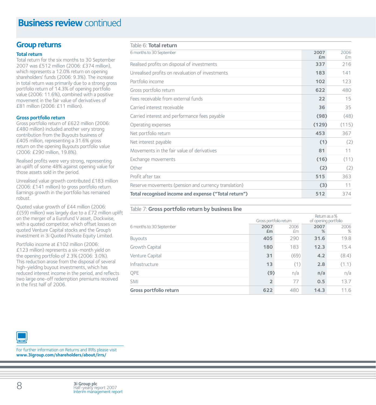# **Business review continued**

## **Group returns**

### **Total return**

Total return for the six months to 30 September 2007 was £512 million (2006: £374 million), which represents a 12.0% return on opening shareholders' funds (2006: 9.3%). The increase in total return was primarily due to a strong gross portfolio return of 14.3% of opening portfolio value (2006: 11.6%), combined with a positive movement in the fair value of derivatives of £81 million (2006: £11 million).

### **Gross portfolio return**

Gross portfolio return of £622 million (2006: £480 million) included another very strong contribution from the Buyouts business of £405 million, representing a 31.6% gross return on the opening Buyouts portfolio value (2006: £290 million, 19.8%).

Realised profits were very strong, representing an uplift of some 48% against opening value for those assets sold in the period.

Unrealised value growth contributed £183 million (2006: £141 million) to gross portfolio return. Earnings growth in the portfolio has remained robust.

Quoted value growth of £44 million (2006:  $E(59)$  million) was largely due to a £72 million uplift on the merger of a Eurofund V asset, Dockwise, with a quoted competitor, which offset losses on quoted Venture Capital stocks and the Group's investment in 3i Quoted Private Equity Limited.

Portfolio income at £102 million (2006: £123 million) represents a six-month yield on the opening portfolio of 2.3% (2006: 3.0%). This reduction arose from the disposal of several high-yielding buyout investments, which has reduced interest income in the period, and reflects two large one-off redemption premiums received in the first half of 2006.

#### Table 6: **Total return**

| 6 months to 30 September                             | 2007<br>£m | 2006<br>£m |
|------------------------------------------------------|------------|------------|
| Realised profits on disposal of investments          | 337        | 216        |
| Unrealised profits on revaluation of investments     | 183        | 141        |
| Portfolio income                                     | 102        | 123        |
| Gross portfolio return                               | 622        | 480        |
| Fees receivable from external funds                  | 22         | 15         |
| Carried interest receivable                          | 36         | 35         |
| Carried interest and performance fees payable        | (98)       | (48)       |
| Operating expenses                                   | (129)      | (115)      |
| Net portfolio return                                 | 453        | 367        |
| Net interest payable                                 | (1)        | (2)        |
| Movements in the fair value of derivatives           | 81         | 11         |
| Exchange movements                                   | (16)       | (11)       |
| Other                                                | (2)        | (2)        |
| Profit after tax                                     | 515        | 363        |
| Reserve movements (pension and currency translation) | (3)        | 11         |
| Total recognised income and expense ("Total return") | 512        | 374        |

### Table 7: **Gross portfolio return by business line**

|                          |                | Gross portfolio return |           | Return as a %<br>of opening portfolio |  |
|--------------------------|----------------|------------------------|-----------|---------------------------------------|--|
| 6 months to 30 September | 2007<br>£m     | 2006<br>£m             | 2007<br>% | 2006<br>%                             |  |
| Buyouts                  | 405            | 290                    | 31.6      | 19.8                                  |  |
| Growth Capital           | 180            | 183                    | 12.3      | 15.4                                  |  |
| Venture Capital          | 31             | (69)                   | 4.2       | (8.4)                                 |  |
| Infrastructure           | 13             | (1)                    | 2.8       | (1.1)                                 |  |
| QPE                      | (9)            | n/a                    | n/a       | n/a                                   |  |
| SMI                      | $\overline{2}$ | 77                     | 0.5       | 13.7                                  |  |
| Gross portfolio return   | 622            | 480                    | 14.3      | 11.6                                  |  |



For further information on Returns and IRRs please visit **www.3igroup.com/shareholders/about/irrs/**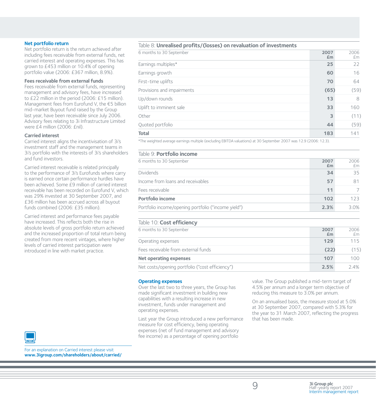### **Net portfolio return**

Net portfolio return is the return achieved after including fees receivable from external funds, net carried interest and operating expenses. This has grown to £453 million or 10.4% of opening portfolio value (2006: £367 million, 8.9%).

#### **Fees receivable from external funds**

Fees receivable from external funds, representing management and advisory fees, have increased to £22 million in the period (2006: £15 million). Management fees from Eurofund V, the  $\epsilon$ 5 billion mid-market Buyout fund raised by the Group last year, have been receivable since July 2006. Advisory fees relating to 3i Infrastructure Limited were £4 million (2006: £nil).

#### **Carried interest**

Carried interest aligns the incentivisation of 3i's investment staff and the management teams in 3i's portfolio with the interests of 3i's shareholders and fund investors.

Carried interest receivable is related principally to the performance of 3i's Eurofunds where carry is earned once certain performance hurdles have been achieved. Some £9 million of carried interest receivable has been recorded on Eurofund V, which was 29% invested at 30 September 2007, and £36 million has been accrued across all buyout funds combined (2006: £35 million).

Carried interest and performance fees payable have increased. This reflects both the rise in absolute levels of gross portfolio return achieved and the increased proportion of total return being created from more recent vintages, where higher levels of carried interest participation were introduced in line with market practice.

### Table 8: **Unrealised profits/(losses) on revaluation of investments**

| 6 months to 30 September   | 2007<br>£m              | 2006<br>£m |
|----------------------------|-------------------------|------------|
| Earnings multiples*        | 25                      | 22         |
| Earnings growth            | 60                      | 16         |
| First-time uplifts         | 70                      | 64         |
| Provisions and impairments | (65)                    | (59)       |
| Up/down rounds             | 13                      | 8          |
| Uplift to imminent sale    | 33                      | 160        |
| Other                      | $\overline{\mathbf{3}}$ | (11)       |
| Quoted portfolio           | 44                      | (59)       |
| <b>Total</b>               | 183                     | 141        |

\*The weighted average earnings multiple (excluding EBITDA valuations) at 30 September 2007 was 12.9 (2006: 12.3).

#### Table 9: **Portfolio income**

| 6 months to 30 September                            | 2007<br>£m | 2006<br>£m |
|-----------------------------------------------------|------------|------------|
| <b>Dividends</b>                                    | 34         | 35         |
| Income from loans and receivables                   | 57         |            |
| Fees receivable                                     | 11         |            |
| Portfolio income                                    | 102        | 123        |
| Portfolio income/opening portfolio ("income yield") | 2.3%       | $3.0\%$    |

#### Table 10: **Cost efficiency**

| 6 months to 30 September                        | 2007 | 2006 |
|-------------------------------------------------|------|------|
|                                                 | £m   | £m   |
| Operating expenses                              | 129  | 115  |
| Fees receivable from external funds             | (22) | (15) |
| Net operating expenses                          | 107  | 100  |
| Net costs/opening portfolio ("cost efficiency") | 2.5% | 24%  |

#### **Operating expenses**

Over the last two to three years, the Group has made significant investment in building new capabilities with a resulting increase in new investment, funds under management and operating expenses.

Last year the Group introduced a new performance measure for cost efficiency, being operating expenses (net of fund management and advisory fee income) as a percentage of opening portfolio

value. The Group published a mid-term target of 4.5% per annum and a longer term objective of reducing this measure to 3.0% per annum.

On an annualised basis, the measure stood at 5.0% at 30 September 2007, compared with 5.3% for the year to 31 March 2007, reflecting the progress that has been made.



For an explanation on Carried interest please visit **www.3igroup.com/shareholders/about/carried/**

9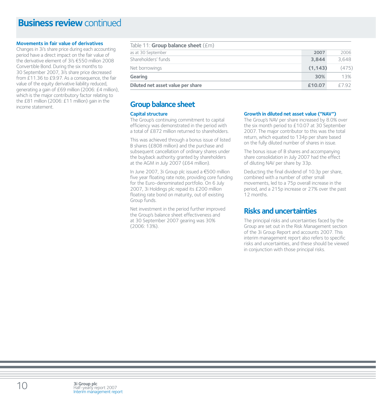## **Business review continued**

#### **Movements in fair value of derivatives**

Changes in 3i's share price during each accounting period have a direct impact on the fair value of the derivative element of 3i's  $\epsilon$ 550 million 2008 Convertible Bond. During the six months to 30 September 2007, 3i's share price decreased from £11.36 to £9.97. As a consequence, the fair value of the equity derivative liability reduced, generating a gain of £69 million (2006: £4 million), which is the major contributory factor relating to the £81 million (2006: £11 million) gain in the income statement.

| Table 11: Group balance sheet (£m) |          |       |
|------------------------------------|----------|-------|
| as at 30 September                 | 2007     | 2006  |
| Shareholders' funds                | 3.844    | 3.648 |
| Net borrowings                     | (1, 143) | (475) |
| Gearing                            | 30%      | 13%   |
| Diluted net asset value per share  | £10.07   | F792  |

## **Group balance sheet**

### **Capital structure**

The Group's continuing commitment to capital efficiency was demonstrated in the period with a total of £872 million returned to shareholders.

This was achieved through a bonus issue of listed B shares (£808 million) and the purchase and subsequent cancellation of ordinary shares under the buyback authority granted by shareholders at the AGM in July 2007 (£64 million).

In June 2007, 3i Group plc issued a  $\epsilon$ 500 million five year floating rate note, providing core funding for the Euro-denominated portfolio. On 6 July 2007, 3i Holdings plc repaid its £200 million floating rate bond on maturity, out of existing Group funds.

Net investment in the period further improved the Group's balance sheet effectiveness and at 30 September 2007 gearing was 30% (2006: 13%).

#### **Growth in diluted net asset value ("NAV")**

The Group's NAV per share increased by 8.0% over the six month period to £10.07 at 30 September 2007. The major contributor to this was the total return, which equated to 134p per share based on the fully diluted number of shares in issue.

The bonus issue of B shares and accompanying share consolidation in July 2007 had the effect of diluting NAV per share by 33p.

Deducting the final dividend of 10.3p per share, combined with a number of other small movements, led to a 75p overall increase in the period, and a 215p increase or 27% over the past 12 months.

## **Risks and uncertainties**

The principal risks and uncertainties faced by the Group are set out in the Risk Management section of the 3i Group Report and accounts 2007. This interim management report also refers to specific risks and uncertainties, and these should be viewed in conjunction with those principal risks.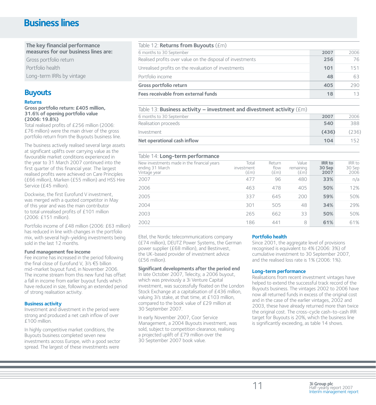# **Business lines**

**The key financial performance measures for our business lines are:** Gross portfolio return Portfolio health

Long-term IRRs by vintage

## **Buyouts**

### **Returns**

**Gross portfolio return: £405 million, 31.6% of opening portfolio value (2006: 19.8%)**

Total realised profits of £256 million (2006: £76 million) were the main driver of the gross portfolio return from the Buyouts business line.

The business actively realised several large assets at significant uplifts over carrying value as the favourable market conditions experienced in the year to 31 March 2007 continued into the first quarter of this financial year. The largest realised profits were achieved on Care Principles (£66 million), Marken (£55 million) and HSS Hire Service (£45 million).

Dockwise, the first Eurofund V investment, was merged with a quoted competitor in May of this year and was the main contributor to total unrealised profits of £101 million (2006: £151 million).

Portfolio income of £48 million (2006: £63 million) has reduced in line with changes in the portfolio mix, with several high-yielding investments being sold in the last 12 months.

#### **Fund management fee income**

Fee income has increased in the period following the final close of Eurofund V, 3i's  $\epsilon$ 5 billion mid-market buyout fund, in November 2006. The income stream from this new fund has offset a fall in income from earlier buyout funds which have reduced in size, following an extended period of strong realisation activity.

#### **Business activity**

Investment and divestment in the period were strong and produced a net cash inflow of over £100 million.

In highly competitive market conditions, the Buyouts business completed seven new investments across Europe, with a good sector spread. The largest of these investments were

### Table 12: **Returns from Buyouts** (£m)

| 6 months to 30 September                                   | 2007 | 2006 |
|------------------------------------------------------------|------|------|
| Realised profits over value on the disposal of investments | 256  | 76   |
| Unrealised profits on the revaluation of investments       | 101  | 151  |
| Portfolio income                                           | 48   | 63   |
| Gross portfolio return                                     | 405  | 290  |
| Fees receivable from external funds                        | 18   |      |

### Table 13: **Business activity – investment and divestment activity** (£m) 6 months to 30 September **2007** 2006 Realisation proceeds **540** 388 Investment **(436)** (236) **Net operational cash inflow 104** 152

### Table 14: **Long-term performance**

| <b>Replace to the Long Comment por roundings</b>                               |                             |                                 |                                     |                                 |                          |
|--------------------------------------------------------------------------------|-----------------------------|---------------------------------|-------------------------------------|---------------------------------|--------------------------|
| New investments made in the financial years<br>ending 31 March<br>Vintage year | Total<br>investment<br>(£m) | Return<br>flow<br>$(\text{fm})$ | Value<br>remaining<br>$(\text{fm})$ | <b>IRR</b> to<br>30 Sep<br>2007 | IRR to<br>30 Sep<br>2006 |
| 2007                                                                           | 477                         | 96                              | 480                                 | 33%                             | n/a                      |
| 2006                                                                           | 463                         | 478                             | 405                                 | 50%                             | 12%                      |
| 2005                                                                           | 337                         | 645                             | 200                                 | 59%                             | 50%                      |
| 2004                                                                           | 301                         | 505                             | 48                                  | 34%                             | 29%                      |
| 2003                                                                           | 265                         | 662                             | 33                                  | 50%                             | 50%                      |
| 2002                                                                           | 186                         | 441                             | 8                                   | 61%                             | 61%                      |

Eltel, the Nordic telecommunications company (£74 million), DEUTZ Power Systems, the German power supplier (£68 million), and Bestinvest, the UK-based provider of investment advice (£56 million).

### **Significant developments after the period end**

In late October 2007, Telecity, a 2006 buyout, which was previously a 3i Venture Capital investment, was successfully floated on the London Stock Exchange at a capitalisation of £436 million, valuing 3i's stake, at that time, at £103 million, compared to the book value of £29 million at 30 September 2007.

In early November 2007, Coor Service Management, a 2004 Buyouts investment, was sold, subject to competition clearance, realising a projected uplift of £79 million over the 30 September 2007 book value.

### **Portfolio health**

Since 2001, the aggregate level of provisions recognised is equivalent to 4% (2006: 3%) of cumulative investment to 30 September 2007, and the realised loss rate is 1% (2006: 1%).

#### **Long-term performance**

Realisations from recent investment vintages have helped to extend the successful track record of the Buyouts business. The vintages 2002 to 2006 have now all returned funds in excess of the original cost and in the case of the earlier vintages, 2002 and 2003, these have already returned more than twice the original cost. The cross-cycle cash-to-cash IRR target for Buyouts is 20%, which the business line is significantly exceeding, as table 14 shows.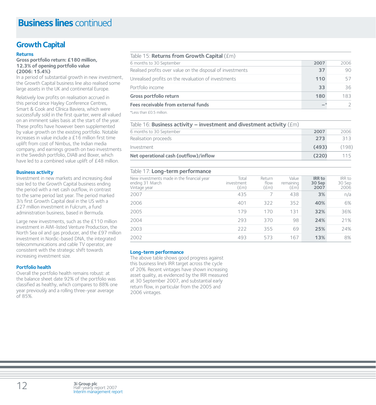## **Growth Capital**

### **Returns**

**Gross portfolio return: £180 million, 12.3% of opening portfolio value (2006: 15.4%)**

In a period of substantial growth in new investment, the Growth Capital business line also realised some large assets in the UK and continental Europe.

Relatively low profits on realisation accrued in this period since Hayley Conference Centres, Smart & Cook and Clínica Baviera, which were successfully sold in the first quarter, were all valued on an imminent sales basis at the start of the year. These profits have however been supplemented by value growth on the existing portfolio. Notable increases in value include a £16 million first time uplift from cost of Nimbus, the Indian media company, and earnings growth on two investments in the Swedish portfolio, DIAB and Boxer, which have led to a combined value uplift of £48 million.

#### **Business activity**

Investment in new markets and increasing deal size led to the Growth Capital business ending the period with a net cash outflow, in contrast to the same period last year. The period marked 3i's first Growth Capital deal in the US with a £27 million investment in Fulcrum, a fund administration business, based in Bermuda.

Large new investments, such as the £110 million investment in AIM-listed Venture Production, the North Sea oil and gas producer, and the £97 million investment in Nordic-based DNA, the integrated telecommunications and cable TV operator, are consistent with the strategic shift towards increasing investment size.

#### **Portfolio health**

Overall the portfolio health remains robust: at the balance sheet date 92% of the portfolio was classified as healthy, which compares to 88% one year previously and a rolling three-year average of 85%.

| Table 15: <b>Returns from Growth Capital</b> (£m)          |      |      |
|------------------------------------------------------------|------|------|
| 6 months to 30 September                                   | 2007 | 2006 |
| Realised profits over value on the disposal of investments | 37   | 90   |
| Unrealised profits on the revaluation of investments       | 110  | 57   |
| Portfolio income                                           | 33   | 36   |
| Gross portfolio return                                     | 180  | 183  |
| Fees receivable from external funds                        |      |      |

\*Less than £0.5 million.

| Table 16: Business activity – investment and divestment activity $(\text{Em})$ |       |       |
|--------------------------------------------------------------------------------|-------|-------|
| 6 months to 30 September                                                       | 2007  | 2006  |
| Realisation proceeds                                                           | 273   | 313   |
| Investment                                                                     | (493) | (198) |
| Net operational cash (outflow)/inflow                                          | (220) | 115   |

### Table 17: **Long-term performance**

| New investments made in the financial year<br>ending 31 March<br>Vintage year | Total<br>investment<br>(£m) | Return<br>flow<br>$(\text{fm})$ | Value<br>remaining<br>$(\text{fm})$ | <b>IRR</b> to<br>30 Sep<br>2007 | IRR to<br>30 Sep<br>2006 |
|-------------------------------------------------------------------------------|-----------------------------|---------------------------------|-------------------------------------|---------------------------------|--------------------------|
| 2007                                                                          | 435                         |                                 | 438                                 | 3%                              | n/a                      |
| 2006                                                                          | 401                         | 322                             | 352                                 | 40%                             | 6%                       |
| 2005                                                                          | 179                         | 170                             | 131                                 | 32%                             | 36%                      |
| 2004                                                                          | 293                         | 370                             | 98                                  | 24%                             | 21%                      |
| 2003                                                                          | 222                         | 355                             | 69                                  | 25%                             | 24%                      |
| 2002                                                                          | 493                         | 573                             | 167                                 | 13%                             | 8%                       |

#### **Long-term performance**

The above table shows good progress against this business line's IRR target across the cycle of 20%. Recent vintages have shown increasing asset quality, as evidenced by the IRR measured at 30 September 2007, and substantial early return flow, in particular from the 2005 and 2006 vintages.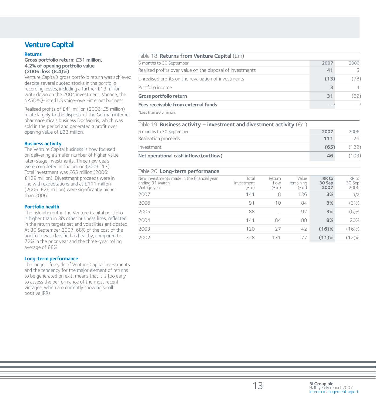## **Venture Capital**

### **Returns**

**Gross portfolio return: £31 million, 4.2% of opening portfolio value (2006: loss (8.4)%)**

Venture Capital's gross portfolio return was achieved despite several quoted stocks in the portfolio recording losses, including a further £13 million write down on the 2004 investment, Vonage, the NASDAQ-listed US voice-over-internet business.

Realised profits of £41 million (2006: £5 million) relate largely to the disposal of the German internet pharmaceuticals business DocMorris, which was sold in the period and generated a profit over opening value of £33 million.

### **Business activity**

The Venture Capital business is now focused on delivering a smaller number of higher value later-stage investments. Three new deals were completed in the period (2006: 13). Total investment was £65 million (2006: £129 million). Divestment proceeds were in line with expectations and at £111 million (2006: £26 million) were significantly higher than 2006.

#### **Portfolio health**

The risk inherent in the Venture Capital portfolio is higher than in 3i's other business lines, reflected in the return targets set and volatilities anticipated. At 30 September 2007, 68% of the cost of the portfolio was classified as healthy, compared to 72% in the prior year and the three-year rolling average of 68%.

### **Long-term performance**

The longer life cycle of Venture Capital investments and the tendency for the major element of returns to be generated on exit, means that it is too early to assess the performance of the most recent vintages, which are currently showing small positive IRRs.

| Table 18: Returns from Venture Capital (£m)                |      |      |
|------------------------------------------------------------|------|------|
| 6 months to 30 September                                   | 2007 | 2006 |
| Realised profits over value on the disposal of investments | 41   | 5    |
| Unrealised profits on the revaluation of investments       | (13) | (78) |
| Portfolio income                                           | 3    | 4    |
| Gross portfolio return                                     | 31   | (69) |
| Fees receivable from external funds                        |      | $-*$ |
|                                                            |      |      |

\*Less than £0.5 million.

| Table 19: Business activity – investment and divestment activity $(\text{Em})$ |      |       |  |  |
|--------------------------------------------------------------------------------|------|-------|--|--|
| 6 months to 30 September                                                       | 2007 | 2006  |  |  |
| Realisation proceeds                                                           | 111  | 26    |  |  |
| Investment                                                                     | (65) | (129) |  |  |
| Net operational cash inflow/(outflow)                                          | 46   | (103) |  |  |

### Table 20: **Long-term performance**

| New investments made in the financial year<br>ending 31 March<br>Vintage year | Total<br>investment<br>$(\text{fm})$ | Return<br>flow<br>$(\text{fm})$ | Value<br>remaining<br>(£m) | <b>IRR</b> to<br>30 Sep<br>2007 | IRR to<br>30 Sep<br>2006 |
|-------------------------------------------------------------------------------|--------------------------------------|---------------------------------|----------------------------|---------------------------------|--------------------------|
| 2007                                                                          | 141                                  | 8                               | 136                        | 3%                              | n/a                      |
| 2006                                                                          | 91                                   | 10                              | 84                         | 3%                              | (3)%                     |
| 2005                                                                          | 88                                   |                                 | 92                         | 3%                              | $(6)$ %                  |
| 2004                                                                          | 141                                  | 84                              | 88                         | 8%                              | 20%                      |
| 2003                                                                          | 120                                  | 27                              | 42                         | $(16)\%$                        | $(16)\%$                 |
| 2002                                                                          | 328                                  | 131                             | 77                         | $(11)$ %                        | (12)%                    |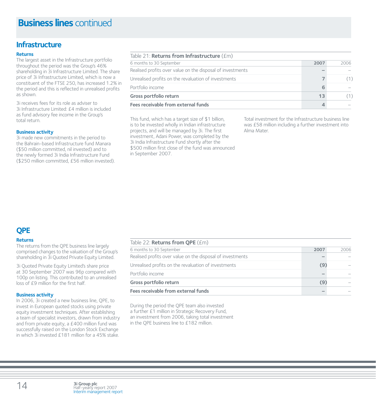## **Infrastructure**

### **Returns**

The largest asset in the Infrastructure portfolio throughout the period was the Group's 46% shareholding in 3i Infrastructure Limited. The share price of 3i Infrastructure Limited, which is now a constituent of the FTSE 250, has increased 1.2% in the period and this is reflected in unrealised profits as shown.

3i receives fees for its role as adviser to 3i Infrastructure Limited: £4 million is included as fund advisory fee income in the Group's total return.

### **Business activity**

3i made new commitments in the period to the Bahrain-based Infrastructure fund Manara (\$50 million committed, nil invested) and to the newly formed 3i India Infrastructure Fund (\$250 million committed, £56 million invested).

| Table 21: <b>Returns from Infrastructure</b> $(fm)$        |      |      |  |  |  |
|------------------------------------------------------------|------|------|--|--|--|
| 6 months to 30 September                                   | 2007 | 2006 |  |  |  |
| Realised profits over value on the disposal of investments |      |      |  |  |  |
| Unrealised profits on the revaluation of investments       |      |      |  |  |  |
| Portfolio income                                           | 6    |      |  |  |  |
| Gross portfolio return                                     | 13   |      |  |  |  |
| Fees receivable from external funds                        |      |      |  |  |  |

This fund, which has a target size of \$1 billion, is to be invested wholly in Indian infrastructure projects, and will be managed by 3i. The first investment, Adani Power, was completed by the 3i India Infrastructure Fund shortly after the \$500 million first close of the fund was announced in September 2007.

Total investment for the Infrastructure business line was £58 million including a further investment into Alma Mater.

## **QPE**

#### **Returns**

The returns from the QPE business line largely comprised changes to the valuation of the Group's shareholding in 3i Quoted Private Equity Limited.

3i Quoted Private Equity Limited's share price at 30 September 2007 was 96p compared with 100p on listing. This contributed to an unrealised loss of £9 million for the first half.

#### **Business activity**

In 2006, 3i created a new business line, QPE, to invest in European quoted stocks using private equity investment techniques. After establishing a team of specialist investors, drawn from industry and from private equity, a £400 million fund was successfully raised on the London Stock Exchange in which 3i invested £181 million for a 45% stake.

| Table 22: Returns from QPE (£m)                            |      |      |
|------------------------------------------------------------|------|------|
| 6 months to 30 September                                   | 2007 | 2006 |
| Realised profits over value on the disposal of investments |      |      |
| Unrealised profits on the revaluation of investments       | (9)  |      |
| Portfolio income                                           |      |      |
| Gross portfolio return                                     | (9)  |      |
| Fees receivable from external funds                        |      |      |

During the period the QPE team also invested a further £1 million in Strategic Recovery Fund, an investment from 2006, taking total investment in the QPE business line to £182 million.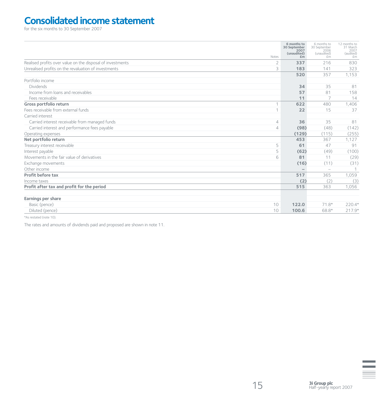# **Consolidated income statement**

for the six months to 30 September 2007

|                                                            | Notes          | 6 months to<br>30 September<br>2007<br>(unaudited)<br>£m | 6 months to<br>30 September<br>2006<br>(unaudited)<br>f <sub>m</sub> | 12 months to<br>31 March<br>2007<br>(audited)<br>£m |
|------------------------------------------------------------|----------------|----------------------------------------------------------|----------------------------------------------------------------------|-----------------------------------------------------|
| Realised profits over value on the disposal of investments | $\overline{2}$ | 337                                                      | 216                                                                  | 830                                                 |
| Unrealised profits on the revaluation of investments       | 3              | 183                                                      | 141                                                                  | 323                                                 |
|                                                            |                | 520                                                      | 357                                                                  | 1,153                                               |
| Portfolio income                                           |                |                                                          |                                                                      |                                                     |
| <b>Dividends</b>                                           |                | 34                                                       | 35                                                                   | 81                                                  |
| Income from loans and receivables                          |                | 57                                                       | 81                                                                   | 158                                                 |
| Fees receivable                                            |                | 11                                                       | 7                                                                    | 14                                                  |
| Gross portfolio return                                     | 1              | 622                                                      | 480                                                                  | 1,406                                               |
| Fees receivable from external funds                        | 1              | 22                                                       | 15                                                                   | 37                                                  |
| Carried interest                                           |                |                                                          |                                                                      |                                                     |
| Carried interest receivable from managed funds             | $\overline{4}$ | 36                                                       | 35                                                                   | 81                                                  |
| Carried interest and performance fees payable              | $\overline{4}$ | (98)                                                     | (48)                                                                 | (142)                                               |
| Operating expenses                                         |                | (129)                                                    | (115)                                                                | (255)                                               |
| Net portfolio return                                       |                | 453                                                      | 367                                                                  | 1,127                                               |
| Treasury interest receivable                               | 5              | 61                                                       | 47                                                                   | 91                                                  |
| Interest payable                                           | 5              | (62)                                                     | (49)                                                                 | (100)                                               |
| Movements in the fair value of derivatives                 | 6              | 81                                                       | 11                                                                   | (29)                                                |
| Exchange movements                                         |                | (16)                                                     | (11)                                                                 | (31)                                                |
| Other income                                               |                | $-$                                                      | $\equiv$                                                             |                                                     |
| Profit before tax                                          |                | 517                                                      | 365                                                                  | 1,059                                               |
| Income taxes                                               |                | (2)                                                      | (2)                                                                  | (3)                                                 |
| Profit after tax and profit for the period                 |                | 515                                                      | 363                                                                  | 1,056                                               |
|                                                            |                |                                                          |                                                                      |                                                     |
| Earnings per share                                         |                |                                                          |                                                                      |                                                     |
| Basic (pence)                                              | 10             | 122.0                                                    | $71.8*$                                                              | 220.4*                                              |
| Diluted (pence)                                            | 10             | 100.6                                                    | 68.8*                                                                | $217.9*$                                            |

\*As restated (note 10).

The rates and amounts of dividends paid and proposed are shown in note 11.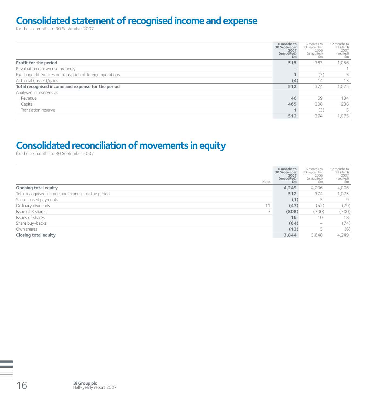# **Consolidated statement of recognised income and expense**

for the six months to 30 September 2007

|                                                           | 6 months to<br>30 September<br>2007<br>(unaudited)<br>Em | 6 months to<br>30 September<br>2006<br>(unaudited)<br>£m | 12 months to<br>31 March<br>2007<br>(audited)<br>£m |
|-----------------------------------------------------------|----------------------------------------------------------|----------------------------------------------------------|-----------------------------------------------------|
| Profit for the period                                     | 515                                                      | 363                                                      | 1,056                                               |
| Revaluation of own use property                           | $\overline{\phantom{a}}$                                 | $\hspace{1.0cm} \rule{1.5cm}{0.15cm}$                    |                                                     |
| Exchange differences on translation of foreign operations | $\blacktriangleleft$                                     | (3)                                                      |                                                     |
| Actuarial (losses)/gains                                  | (4)                                                      | 14                                                       | 13                                                  |
| Total recognised income and expense for the period        | 512                                                      | 374                                                      | 1,075                                               |
| Analysed in reserves as                                   |                                                          |                                                          |                                                     |
| Revenue                                                   | 46                                                       | 69                                                       | 134                                                 |
| Capital                                                   | 465                                                      | 308                                                      | 936                                                 |
| Translation reserve                                       |                                                          | (3)                                                      |                                                     |
|                                                           | 512                                                      | 374                                                      | 1.075                                               |

# **Consolidated reconciliation of movements in equity**

for the six months to 30 September 2007

| Notes                                              | 6 months to<br>30 September<br>2007<br>(unaudited)<br>£m | 6 months to<br>30 September<br>2006<br>(unaudited)<br>£m | 12 months to<br>31 March<br>2007<br>(audited)<br>£m |
|----------------------------------------------------|----------------------------------------------------------|----------------------------------------------------------|-----------------------------------------------------|
| Opening total equity                               | 4,249                                                    | 4,006                                                    | 4,006                                               |
| Total recognised income and expense for the period | 512                                                      | 374                                                      | 1,075                                               |
| Share-based payments                               | (1)                                                      | 5                                                        | 9                                                   |
| Ordinary dividends<br>11                           | (47)                                                     | (52)                                                     | (79)                                                |
| Issue of B shares                                  | (808)                                                    | (700)                                                    | (700)                                               |
| Issues of shares                                   | 16                                                       | 10                                                       | 18                                                  |
| Share buy-backs                                    | (64)                                                     | $\overline{\phantom{a}}$                                 | (74)                                                |
| Own shares                                         | (13)                                                     | 5                                                        | (6)                                                 |
| Closing total equity                               | 3,844                                                    | 3,648                                                    | 4,249                                               |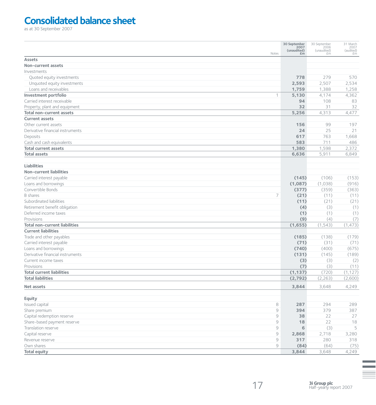# **Consolidated balance sheet**

as at 30 September 2007

|                                                      |                                                           | 30 September<br>2007<br>(unaudited) | 30 September<br>2006<br>(unaudited) | 31 March<br>2007<br>(audited) |
|------------------------------------------------------|-----------------------------------------------------------|-------------------------------------|-------------------------------------|-------------------------------|
|                                                      | Notes                                                     | £m                                  | £m                                  | £m                            |
| <b>Assets</b>                                        |                                                           |                                     |                                     |                               |
| Non-current assets                                   |                                                           |                                     |                                     |                               |
| Investments                                          |                                                           |                                     |                                     |                               |
| Quoted equity investments                            |                                                           | 778                                 | 279                                 | 570                           |
| Unquoted equity investments                          |                                                           | 2,593                               | 2,507                               | 2,534                         |
| Loans and receivables                                |                                                           | 1,759                               | 1,388                               | 1,258                         |
| Investment portfolio                                 | 1                                                         | 5,130                               | 4,174                               | 4,362                         |
| Carried interest receivable                          |                                                           | 94                                  | 108                                 | 83                            |
| Property, plant and equipment                        |                                                           | 32                                  | 31                                  | 32                            |
| <b>Total non-current assets</b>                      |                                                           | 5,256                               | 4,313                               | 4,477                         |
| <b>Current assets</b>                                |                                                           |                                     |                                     |                               |
| Other current assets                                 |                                                           | 156                                 | 99                                  | 197                           |
| Derivative financial instruments                     |                                                           | 24                                  | 25                                  | 21                            |
| Deposits                                             |                                                           | 617                                 | 763                                 | 1,668                         |
| Cash and cash equivalents                            |                                                           | 583                                 | 711                                 | 486                           |
| <b>Total current assets</b>                          |                                                           | 1,380                               | 1,598                               | 2,372                         |
| <b>Total assets</b>                                  |                                                           | 6,636                               | 5,911                               | 6,849                         |
|                                                      |                                                           |                                     |                                     |                               |
| <b>Liabilities</b><br><b>Non-current liabilities</b> |                                                           |                                     |                                     |                               |
|                                                      |                                                           |                                     |                                     |                               |
| Carried interest payable                             |                                                           | (145)                               | (106)                               | (153)                         |
| Loans and borrowings                                 |                                                           | (1,087)                             | (1,038)                             | (916)                         |
| Convertible Bonds                                    |                                                           | (377)                               | (359)                               | (363)                         |
| <b>B</b> shares                                      | $\overline{7}$                                            | (21)                                | (11)                                | (11)                          |
| Subordinated liabilities                             |                                                           | (11)                                | (21)                                | (21)                          |
| Retirement benefit obligation                        |                                                           | (4)                                 | (3)                                 | (1)                           |
| Deferred income taxes                                |                                                           | (1)                                 | (1)                                 | (1)                           |
| Provisions                                           |                                                           | (9)                                 | (4)                                 | (7)                           |
| <b>Total non-current liabilities</b>                 |                                                           | (1,655)                             | (1, 543)                            | (1, 473)                      |
| <b>Current liabilities</b>                           |                                                           |                                     |                                     |                               |
| Trade and other payables                             |                                                           | (185)                               | (138)                               | (179)                         |
| Carried interest payable                             |                                                           | (71)                                | (31)                                | (71)                          |
| Loans and borrowings                                 |                                                           | (740)                               | (400)                               | (675)                         |
| Derivative financial instruments                     |                                                           | (131)                               | (145)                               | (189)                         |
| Current income taxes                                 |                                                           | (3)                                 | (3)                                 | (2)                           |
| Provisions                                           |                                                           | (7)                                 | (3)                                 | (11)                          |
| <b>Total current liabilities</b>                     |                                                           | (1, 137)                            | (720)                               | (1, 127)                      |
| <b>Total liabilities</b>                             |                                                           | (2,792)                             | (2, 263)                            | (2,600)                       |
| Net assets                                           |                                                           | 3.844                               | 3,648                               | 4,249                         |
| <b>Equity</b>                                        |                                                           |                                     |                                     |                               |
| Issued capital                                       | $\,8\,$                                                   | 287                                 | 294                                 | 289                           |
| Share premium                                        | $\mathcal{G}% _{M_{1},M_{2}}^{\alpha,\beta}(\varepsilon)$ | 394                                 | 379                                 | 387                           |
| Capital redemption reserve                           | $\mathcal{G}$                                             | 38                                  | 22                                  | 27                            |
| Share-based payment reserve                          | 9                                                         | 18                                  | 22                                  | 18                            |
| Translation reserve                                  | $\mathcal{G}% _{M_{1},M_{2}}^{\alpha,\beta}(\mathcal{G})$ | 6                                   | (3)                                 | 5                             |
| Capital reserve                                      | $\mathcal{G}% _{M_{1},M_{2}}^{\alpha,\beta}(\mathcal{G})$ | 2,868                               | 2,718                               | 3,280                         |
| Revenue reserve                                      | $\mathcal{G}% _{M_{1},M_{2}}^{\alpha,\beta}(\mathcal{G})$ | 317                                 | 280                                 | 318                           |
| Own shares                                           | 9                                                         | (84)                                | (64)                                | (75)                          |
| <b>Total equity</b>                                  |                                                           | 3,844                               | 3,648                               | 4,249                         |
|                                                      |                                                           |                                     |                                     |                               |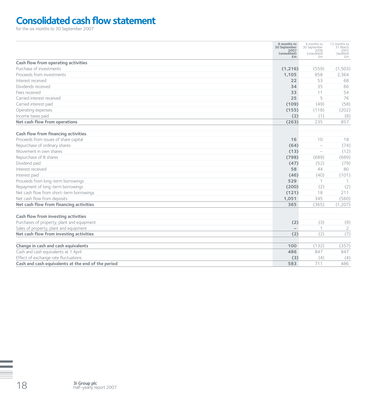# **Consolidated cash flow statement**

for the six months to 30 September 2007

|                                                    | 6 months to<br>30 September<br>2007<br>(unaudited)<br>Em | 6 months to<br>30 September<br>2006<br>(unaudited)<br>£m | 12 months to<br>31 March<br>2007<br>(audited)<br>£m |
|----------------------------------------------------|----------------------------------------------------------|----------------------------------------------------------|-----------------------------------------------------|
| Cash flow from operating activities                |                                                          |                                                          |                                                     |
| Purchase of investments                            | (1, 216)                                                 | (559)                                                    | (1,503)                                             |
| Proceeds from investments                          | 1,105                                                    | 858                                                      | 2,364                                               |
| Interest received                                  | 22                                                       | 53                                                       | 68                                                  |
| Dividends received                                 | 34                                                       | 35                                                       | 66                                                  |
| Fees received                                      | 33                                                       | 11                                                       | 54                                                  |
| Carried interest received                          | 25                                                       | 5                                                        | 76                                                  |
| Carried interest paid                              | (109)                                                    | (49)                                                     | (58)                                                |
| Operating expenses                                 | (155)                                                    | (118)                                                    | (202)                                               |
| Income taxes paid                                  | (2)                                                      | (1)                                                      | (8)                                                 |
| Net cash flow from operations                      | (263)                                                    | 235                                                      | 857                                                 |
| Cash flow from financing activities                |                                                          |                                                          |                                                     |
| Proceeds from issues of share capital              | 16                                                       | 10                                                       | 18                                                  |
| Repurchase of ordinary shares                      | (64)                                                     | $\equiv$                                                 | (74)                                                |
| Movement in own shares                             | (13)                                                     | $\overline{\phantom{0}}$                                 | (12)                                                |
| Repurchase of B shares                             | (798)                                                    | (689)                                                    | (689)                                               |
| Dividend paid                                      | (47)                                                     | (52)                                                     | (79)                                                |
| Interest received                                  | 58                                                       | 44                                                       | 80                                                  |
| Interest paid                                      | (46)                                                     | (40)                                                     | (101)                                               |
| Proceeds from long-term borrowings                 | 529                                                      | 1                                                        |                                                     |
| Repayment of long-term borrowings                  | (200)                                                    | (2)                                                      | (2)                                                 |
| Net cash flow from short-term borrowings           | (121)                                                    | 18                                                       | 211                                                 |
| Net cash flow from deposits                        | 1,051                                                    | 345                                                      | (560)                                               |
| Net cash flow from financing activities            | 365                                                      | (365)                                                    | (1, 207)                                            |
| Cash flow from investing activities                | (2)                                                      |                                                          |                                                     |
| Purchases of property, plant and equipment         |                                                          | (3)                                                      | (9)                                                 |
| Sales of property, plant and equipment             | $\overline{\phantom{0}}$                                 | 1                                                        | $\overline{2}$                                      |
| Net cash flow from investing activities            | (2)                                                      | (2)                                                      | (7)                                                 |
| Change in cash and cash equivalents                | 100                                                      | (132)                                                    | (357)                                               |
| Cash and cash equivalents at 1 April               | 486                                                      | 847                                                      | 847                                                 |
| Effect of exchange rate fluctuations               | (3)                                                      | (4)                                                      | (4)                                                 |
| Cash and cash equivalents at the end of the period | 583                                                      | 711                                                      | 486                                                 |
|                                                    |                                                          |                                                          |                                                     |

**3i Group plc**<br>
Half-yearly report 2007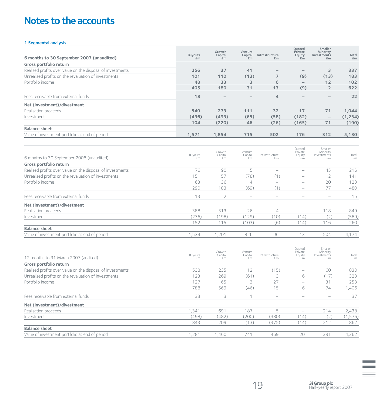# **Notes to the accounts**

### **1 Segmental analysis**

| 6 months to 30 September 2007 (unaudited)                  | <b>Buyouts</b><br>£m | Growth<br>Capital<br>£m | Venture<br>Capital<br>£m                                      | Infrastructure<br>£m     | Quoted<br>Private<br>Equity<br>£m | Smaller<br>Minority<br>Investments<br>£m | Total<br>£m |
|------------------------------------------------------------|----------------------|-------------------------|---------------------------------------------------------------|--------------------------|-----------------------------------|------------------------------------------|-------------|
| Gross portfolio return                                     |                      |                         |                                                               |                          |                                   |                                          |             |
| Realised profits over value on the disposal of investments | 256                  | 37                      | 41                                                            | $\overline{\phantom{0}}$ | $\overline{\phantom{0}}$          | 3                                        | 337         |
| Unrealised profits on the revaluation of investments       | 101                  | 110                     | (13)                                                          | $\overline{7}$           | (9)                               | (13)                                     | 183         |
| Portfolio income                                           | 48                   | 33                      | 3                                                             | 6                        | $\overline{\phantom{0}}$          | 12                                       | 102         |
|                                                            | 405                  | 180                     | 31                                                            | 13                       | (9)                               | $\overline{2}$                           | 622         |
| Fees receivable from external funds                        | 18                   |                         |                                                               | $\overline{4}$           |                                   |                                          | 22          |
| Net (investment)/divestment                                |                      |                         |                                                               |                          |                                   |                                          |             |
| Realisation proceeds                                       | 540                  | 273                     | 111                                                           | 32                       | 17                                | 71                                       | 1,044       |
| Investment                                                 | (436)                | (493)                   | (65)                                                          | (58)                     | (182)                             |                                          | (1, 234)    |
|                                                            | 104                  | (220)                   | 46                                                            | (26)                     | (165)                             | 71                                       | (190)       |
| <b>Balance sheet</b>                                       |                      |                         |                                                               |                          |                                   |                                          |             |
| Value of investment portfolio at end of period             | 1,571                | 1,854                   | 715                                                           | 502                      | 176                               | 312                                      | 5,130       |
| 6 months to 30 September 2006 (unaudited)                  | Buyouts<br><i>fm</i> | Growth<br>Capital<br>£m | Venture<br>$\bigcap_{\substack{\text{Capital} \\ \text{Em}}}$ | Infrastructure<br>fm     | Quoted<br>Private<br>Equity<br>£m | Smaller<br>Minority<br>Investments<br>£m | Total<br>£m |
| Gross portfolio return                                     |                      |                         |                                                               |                          |                                   |                                          |             |
| Realised profits over value on the disposal of investments | 76                   | 90                      | 5                                                             | $\equiv$                 | $=$                               | 45                                       | 216         |
| Unrealised profits on the revaluation of investments       | 151                  | 57                      | (78)                                                          | (1)                      | $\equiv$                          | 12                                       | 141         |
| Portfolio income                                           | 63                   | 36                      | $\overline{4}$                                                | $\equiv$                 | $\overline{\phantom{0}}$          | 20                                       | 123         |
|                                                            | 290                  | 183                     | (69)                                                          | (1)                      | $\overline{\phantom{0}}$          | 77                                       | 480         |
| Fees receivable from external funds                        | 13                   | $\overline{2}$          | $\frac{1}{2}$                                                 | $\overline{\phantom{a}}$ | $\overline{a}$                    | $\overline{\phantom{0}}$                 | 15          |
| Net (investment)/divestment                                |                      |                         |                                                               |                          |                                   |                                          |             |
| Realisation proceeds                                       | 388                  | 313                     | 26                                                            | $\overline{4}$           | $\overline{\phantom{0}}$          | 118                                      | 849         |
| Investment                                                 | (236)                | (198)                   | (129)                                                         | (10)                     | (14)                              | (2)                                      | (589)       |
|                                                            | 152                  | 115                     | (103)                                                         | (6)                      | (14)                              | 116                                      | 260         |
| <b>Balance sheet</b>                                       |                      |                         |                                                               |                          |                                   |                                          |             |
| Value of investment portfolio at end of period             | 1,534                | 1,201                   | 826                                                           | 96                       | 13                                | 504                                      | 4,174       |
| 12 months to 31 March 2007 (audited)                       | Buyouts<br>£m        | Growth<br>Capital<br>£m | Venture<br>Capital<br>£m                                      | Infrastructure<br>£m     | Quoted<br>Private<br>Equity<br>£m | Smaller<br>Minority<br>Investments<br>£m | Total<br>£m |
| Gross portfolio return                                     |                      |                         |                                                               |                          |                                   |                                          |             |
| Realised profits over value on the disposal of investments | 538                  | 235                     | 12                                                            | (15)                     | $\overline{\phantom{m}}$          | 60                                       | 830         |
| Unrealised profits on the revaluation of investments       | 123                  | 269                     | (61)                                                          | 3                        | 6                                 | (17)                                     | 323         |
| Portfolio income                                           | 127                  | 65                      | 3                                                             | 27                       | $\equiv$                          | 31                                       | 253         |
|                                                            | 788                  | 569                     | (46)                                                          | 15                       | 6                                 | 74                                       | 1,406       |
| Fees receivable from external funds                        | 33                   | 3                       | $\mathbf 1$                                                   | $\equiv$                 | $\equiv$                          | $\overline{\phantom{a}}$                 | 37          |
| Net (investment)/divestment                                |                      |                         |                                                               |                          |                                   |                                          |             |
| Realisation proceeds                                       | 1,341                | 691                     | 187                                                           | 5                        | $\overline{\phantom{0}}$          | 214                                      | 2,438       |
| Investment                                                 | (498)                | (482)                   | (200)                                                         | (380)                    | (14)                              | (2)                                      | (1, 576)    |
|                                                            | 843                  | 209                     | (13)                                                          | (375)                    | (14)                              | 212                                      | 862         |
| <b>Balance sheet</b>                                       |                      |                         |                                                               |                          |                                   |                                          |             |
| Value of investment portfolio at end of period             | 1,281                | 1.460                   | 741                                                           | 469                      | 20                                | 391                                      | 4,362       |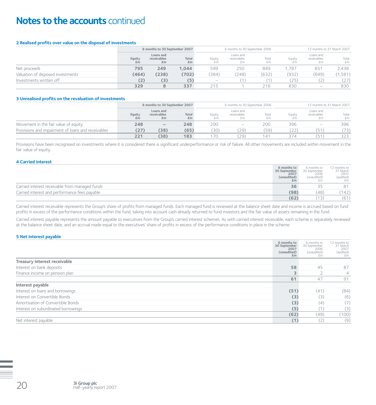# **Notes to the accounts** continued

#### **2 Realised profits over value on the disposal of investments**

|                                   |              | 6 months to 30 September 2007  |             |                                 |                                | 6 months to 30 September 2006 | 12 months to 31 March 2007 |                                                                           |             |  |
|-----------------------------------|--------------|--------------------------------|-------------|---------------------------------|--------------------------------|-------------------------------|----------------------------|---------------------------------------------------------------------------|-------------|--|
|                                   | Equity<br>£m | Loans and<br>receivables<br>£m | Total<br>£m | Equity<br>£m                    | Loans and<br>receivables<br>£m | Total<br>£m                   | Equity<br>£m.              | Loans and<br>receivables<br>£m                                            | Total<br>£m |  |
| Net proceeds                      | 795          | 249                            | 1,044       | 599                             | 250                            | 849                           | .787                       | 651                                                                       | 2,438       |  |
| Valuation of disposed investments | (464)        | (238)                          | (702)       | (384)                           | (248)                          | (632)                         | (932)                      | (649)                                                                     | (1,581)     |  |
| Investments written off           | (2)          | (3)                            | (5)         | $\hspace{0.1mm}-\hspace{0.1mm}$ |                                |                               | (25)                       | ∠                                                                         | (27)        |  |
|                                   | 329          |                                | 337         | 215                             |                                | 216                           | 830                        | $\hspace{1.0cm} \rule{1.5cm}{0.15cm} \hspace{1.0cm} \rule{1.5cm}{0.15cm}$ | 830         |  |

#### **3 Unrealised profits on the revaluation of investments**

|                                                    |              | 6 months to 30 September 2007  |             |        | 6 months to 30 September 2006  |             | 12 months to 31 March 2007 |                                |             |  |
|----------------------------------------------------|--------------|--------------------------------|-------------|--------|--------------------------------|-------------|----------------------------|--------------------------------|-------------|--|
|                                                    | Equity<br>£m | Loans and<br>receivables<br>£m | Total<br>£m | Equity | Loans and<br>receivables<br>£m | Total<br>£m | Equity                     | Loans and<br>receivables<br>£m | Total<br>£m |  |
| Movement in the fair value of equity               | 248          | $\overline{\phantom{a}}$       | 248         | 200    | $\overline{\phantom{0}}$       | 200         | 396                        | $\overline{\phantom{a}}$       | 396         |  |
| Provisions and impairment of loans and receivables | (27)         | (38)                           | (65)        | 30)    | '29)                           | (59)        | (22)                       | (51)                           | (73)        |  |
|                                                    | 221          | (38)                           | 183         | 70     | '29                            | 141         | 374                        | (51)                           | 323         |  |

Provisions have been recognised on investments where it is considered there is significant underperformance or risk of failure. All other movements are included within movement in the fair value of equity.

#### **4 Carried interest**

|                                                | 6 months to<br>30 September<br>2007<br>(unaudited)<br>£m | 6 months to<br>30 September<br>2006<br>(unaudited) | 12 months to<br>31 March<br>2007<br>(audited)<br>£m |
|------------------------------------------------|----------------------------------------------------------|----------------------------------------------------|-----------------------------------------------------|
| Carried interest receivable from managed funds | 36                                                       | マヒ                                                 | 81                                                  |
| Carried interest and performance fees payable  | (98)                                                     | (48)                                               | (142)                                               |
|                                                | (62)                                                     | (13)                                               | (61)                                                |

Carried interest receivable represents the Group's share of profits from managed funds. Each managed fund is reviewed at the balance sheet date and income is accrued based on fund profits in excess of the performance conditions within the fund, taking into account cash already returned to fund investors and the fair value of assets remaining in the fund.

Carried interest payable represents the amount payable to executives from the Group's carried interest schemes. As with carried interest receivable, each scheme is separately reviewed at the balance sheet date, and an accrual made equal to the executives' share of profits in excess of the performance conditions in place in the scheme.

#### **5 Net interest payable**

|                                     | 6 months to<br>30 September<br>2007<br>(unaudited)<br>£m | 6 months to<br>30 September<br>2006<br>(unaudited)<br>£m | 12 months to<br>31 March<br>2007<br>(audited)<br>£m |
|-------------------------------------|----------------------------------------------------------|----------------------------------------------------------|-----------------------------------------------------|
| Treasury interest receivable        |                                                          |                                                          |                                                     |
| Interest on bank deposits           | 58                                                       | 45                                                       | 87                                                  |
| Finance income on pension plan      | 3                                                        |                                                          | 4                                                   |
|                                     | 61                                                       | 47                                                       | 91                                                  |
| Interest payable                    |                                                          |                                                          |                                                     |
| Interest on loans and borrowings    | (51)                                                     | (41)                                                     | (84)                                                |
| Interest on Convertible Bonds       | (3)                                                      | (3)                                                      | (6)                                                 |
| Amortisation of Convertible Bonds   | (3)                                                      | (4)                                                      | (7)                                                 |
| Interest on subordinated borrowings | (5)                                                      | (1)                                                      | (3)                                                 |
|                                     | (62)                                                     | (49)                                                     | (100)                                               |
| Net interest payable                | (1)                                                      | (2)                                                      | (9)                                                 |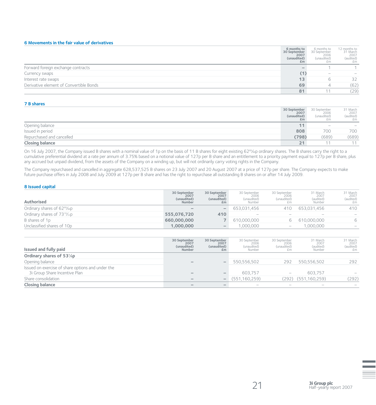#### **6 Movements in the fair value of derivatives**

|                                         | 6 months to<br>30 September<br>2007<br>(unaudited)<br>£m | 6 months to<br>30 September<br>2006<br>(unaudited)<br>£m | 12 months to<br>31 March<br>2007<br>(audited)<br>£m |
|-----------------------------------------|----------------------------------------------------------|----------------------------------------------------------|-----------------------------------------------------|
| Forward foreign exchange contracts      |                                                          |                                                          |                                                     |
| Currency swaps                          | (1)                                                      | $\overline{\phantom{0}}$                                 |                                                     |
| Interest rate swaps                     | 13                                                       | h                                                        | 32                                                  |
| Derivative element of Convertible Bonds | 69                                                       | ∸                                                        | (62)                                                |
|                                         | 81                                                       |                                                          | (29)                                                |

#### **7 B shares**

|                           | 30 September<br>2007<br>(unaudited)<br>£m | 30 September<br>2006<br>(unaudited)<br>£m | 31 March<br>2007<br>(audited)<br>£m |
|---------------------------|-------------------------------------------|-------------------------------------------|-------------------------------------|
| Opening balance           | 11.                                       | $\overline{\phantom{0}}$                  | $\overline{\phantom{a}}$            |
| Issued in period          | 808                                       | 700                                       | 700                                 |
| Repurchased and cancelled | (798)                                     | (689)                                     | (689)                               |
| <b>Closing balance</b>    | 21                                        |                                           | 1 A                                 |

On 16 July 2007, the Company issued B shares with a nominal value of 1p on the basis of 11 B shares for eight existing 62<sup>69</sup>/88p ordinary shares. The B shares carry the right to a cumulative preferential dividend at a rate per annum of 3.75% based on a notional value of 127p per B share and an entitlement to a priority payment equal to 127p per B share, plus any accrued but unpaid dividend, from the assets of the Company on a winding up, but will not ordinarily carry voting rights in the Company.

The Company repurchased and cancelled in aggregate 628,537,525 B shares on 23 July 2007 and 20 August 2007 at a price of 127p per share. The Company expects to make future purchase offers in July 2008 and July 2009 at 127p per B share and has the right to repurchase all outstanding B shares on or after 14 July 2009.

#### **8 Issued capital**

| Authorised                                            | 30 September<br>2007<br>(unaudited)<br>Number | 30 September<br>2007<br>(unaudited)<br>£m | 30 September<br>2006<br>(unaudited)<br>Number | 30 September<br>2006<br>(unaudited) | 31 March<br>2007<br>(audited)<br>Number | 31 March<br>2007<br>(audited)<br>£m |
|-------------------------------------------------------|-----------------------------------------------|-------------------------------------------|-----------------------------------------------|-------------------------------------|-----------------------------------------|-------------------------------------|
| Ordinary shares of 62 <sup>69</sup> /88D              |                                               | $-$                                       | 653.031.456                                   | 410                                 | 653.031.456                             | 410                                 |
| Ordinary shares of 73 <sup>19</sup> / <sub>22</sub> p | 555.076.720                                   | 410                                       | $\overline{\phantom{0}}$                      | $\overline{\phantom{a}}$            | $-$                                     |                                     |
| B shares of 1p                                        | 660,000,000                                   |                                           | 610,000,000                                   |                                     | 610,000,000                             |                                     |
| Unclassified shares of 10p                            | 1.000.000                                     | $\overline{\phantom{a}}$                  | .000.000                                      | $\overline{\phantom{a}}$            | .000.000                                |                                     |

| Issued and fully paid                                                              | 30 September<br>2007<br>(unaudited)<br>Number | 30 September<br>2007<br>(unaudited)<br>£m | 30 September<br>2006<br>(unaudited)<br>Number | 30 September<br>2006<br>(unaudited)<br>£m | 31 March<br>2007<br>(audited)<br>Number | 31 March<br>2007<br>(audited)<br>£m |
|------------------------------------------------------------------------------------|-----------------------------------------------|-------------------------------------------|-----------------------------------------------|-------------------------------------------|-----------------------------------------|-------------------------------------|
| Ordinary shares of 531/ <sub>8</sub> p                                             |                                               |                                           |                                               |                                           |                                         |                                     |
| Opening balance                                                                    |                                               |                                           | 550.556.502                                   | 292                                       | 550.556.502                             | 292                                 |
| Issued on exercise of share options and under the<br>3i Group Share Incentive Plan |                                               |                                           | 603.757                                       | $\overline{\phantom{0}}$                  | 603.757                                 |                                     |
| Share consolidation                                                                |                                               | $\overline{\phantom{0}}$                  | (551, 160, 259)                               |                                           | $(292)$ $(551,160,259)$                 | (292)                               |
| <b>Closing balance</b>                                                             |                                               |                                           | -                                             | $\overline{\phantom{0}}$                  |                                         |                                     |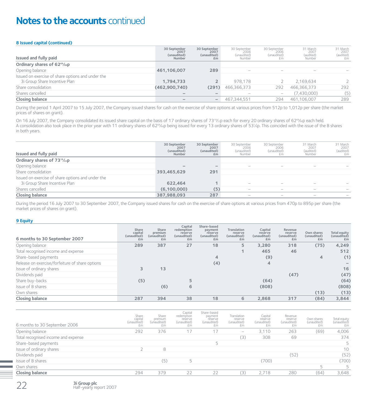# **Notes to the accounts** continued

#### **8 Issued capital (continued)**

| Issued and fully paid                             | 30 September<br>2007<br>(unaudited)<br>Number | 30 September<br>2007<br>(unaudited)<br>£m | 30 September<br>2006<br>(unaudited)<br>Number | 30 September<br>2006<br>(unaudited)   | 31 March<br>2007<br>(audited)<br>Number | 31 March<br>2007<br>(audited)<br>£m |
|---------------------------------------------------|-----------------------------------------------|-------------------------------------------|-----------------------------------------------|---------------------------------------|-----------------------------------------|-------------------------------------|
| Ordinary shares of 62 <sup>69</sup> /88P          |                                               |                                           |                                               |                                       |                                         |                                     |
| Opening balance                                   | 461,106,007                                   | 289                                       | $\overline{\phantom{a}}$                      | $\overline{\phantom{a}}$              |                                         |                                     |
| Issued on exercise of share options and under the |                                               |                                           |                                               |                                       |                                         |                                     |
| 3i Group Share Incentive Plan                     | 1.794.733                                     |                                           | 978.178                                       |                                       | 2.169.634                               | つ                                   |
| Share consolidation                               | (462,900,740)                                 | (291)                                     | 466,366,373                                   | 292                                   | 466,366,373                             | 292                                 |
| Shares cancelled                                  |                                               |                                           |                                               | $\hspace{1.0cm} \rule{1.5cm}{0.15cm}$ | (7.430.000)                             | (5)                                 |
| <b>Closing balance</b>                            |                                               | $\hspace{0.1mm}-\hspace{0.1mm}$           | 467.344.551                                   | 294                                   | 461.106.007                             | 289                                 |

During the period 1 April 2007 to 15 July 2007, the Company issued shares for cash on the exercise of share options at various prices from 512p to 1,012p per share (the market prices of shares on grant).

On 16 July 2007, the Company consolidated its issued share capital on the basis of 17 ordinary shares of 73<sup>19</sup>/<sub>22</sub>p each for every 20 ordinary shares of 62<sup>69</sup>/<sub>89</sub>p each held. A consolidation also took place in the prior year with 11 ordinary shares of 62%sp being issued for every 13 ordinary shares of 531%p. This coincided with the issue of the B shares in both years.

| Issued and fully paid                                 | 30 September<br>2007<br>(unaudited)<br>Number | 30 September<br>2007<br>(unaudited)<br>£m | 30 September<br>2006<br>(unaudited)<br>Number | 30 September<br>2006<br>(unaudited)<br>£m | 31 March<br>2007<br>(audited)<br>Number | 31 March<br>2007<br>(audited)<br>£m |
|-------------------------------------------------------|-----------------------------------------------|-------------------------------------------|-----------------------------------------------|-------------------------------------------|-----------------------------------------|-------------------------------------|
| Ordinary shares of 73 <sup>19</sup> / <sub>22</sub> p |                                               |                                           |                                               |                                           |                                         |                                     |
| Opening balance                                       |                                               |                                           | -                                             | -                                         |                                         |                                     |
| Share consolidation                                   | 393,465,629                                   | 291                                       |                                               |                                           |                                         |                                     |
| Issued on exercise of share options and under the     |                                               |                                           |                                               |                                           |                                         |                                     |
| 3i Group Share Incentive Plan                         | 622.464                                       |                                           | $\overline{\phantom{0}}$                      |                                           |                                         |                                     |
| Shares cancelled                                      | (6,100,000)                                   | (5)                                       | -                                             | $\overline{\phantom{a}}$                  |                                         |                                     |
| <b>Closing balance</b>                                | 387,988,093                                   | 287                                       | $\overline{\phantom{a}}$                      | $\overline{\phantom{a}}$                  | $\overline{\phantom{a}}$                |                                     |

During the period 16 July 2007 to 30 September 2007, the Company issued shares for cash on the exercise of share options at various prices from 470p to 895p per share (the market prices of shares on grant).

#### **9 Equity**

| 6 months to 30 September 2007                   | Share<br>capital<br>(unaudited)<br>E <sub>m</sub> | Share<br>premium<br>(unaudited)<br>£m | Capital<br>redemption<br>reserve<br>(unaudited)<br>E <sub>m</sub> | Share-based<br>payment<br>reserve<br>(unaudited)<br>Em | Translation<br>reserve<br>(unaudited)<br>Em | Capital<br>reserve<br>(unaudited)<br>£m | Revenue<br>reserve<br>(unaudited)<br>£m | Own shares<br>(unaudited)<br>E <sub>m</sub> | <b>Total equity</b><br>(unaudited)<br>£m |
|-------------------------------------------------|---------------------------------------------------|---------------------------------------|-------------------------------------------------------------------|--------------------------------------------------------|---------------------------------------------|-----------------------------------------|-----------------------------------------|---------------------------------------------|------------------------------------------|
| Opening balance                                 | 289                                               | 387                                   | 27                                                                | 18                                                     | 5                                           | 3,280                                   | 318                                     | (75)                                        | 4,249                                    |
| Total recognised income and expense             |                                                   |                                       |                                                                   |                                                        |                                             | 465                                     | 46                                      |                                             | 512                                      |
| Share-based payments                            |                                                   |                                       |                                                                   | $\overline{4}$                                         |                                             | (9)                                     |                                         | 4                                           | (1)                                      |
| Release on exercise/forfeiture of share options |                                                   |                                       |                                                                   | (4)                                                    |                                             | 4                                       |                                         |                                             |                                          |
| Issue of ordinary shares                        |                                                   | 13                                    |                                                                   |                                                        |                                             |                                         |                                         |                                             | 16                                       |
| Dividends paid                                  |                                                   |                                       |                                                                   |                                                        |                                             |                                         | (47)                                    |                                             | (47)                                     |
| Share buy-backs                                 | (5)                                               |                                       |                                                                   |                                                        |                                             | (64)                                    |                                         |                                             | (64)                                     |
| Issue of B shares                               |                                                   | (6)                                   | 6                                                                 |                                                        |                                             | (808)                                   |                                         |                                             | (808)                                    |
| Own shares                                      |                                                   |                                       |                                                                   |                                                        |                                             |                                         |                                         | (13)                                        | (13)                                     |
| <b>Closing balance</b>                          | 287                                               | 394                                   | 38                                                                | 18                                                     | 6                                           | 2.868                                   | 317                                     | (84)                                        | 3,844                                    |

| 6 months to 30 September 2006       | Share<br>capital<br>(unaudited)<br>£m | Share<br>premium<br>(unaudited)<br>£m | Capital<br>redemption<br>reserve<br>(unaudited)<br>£m | Share-based<br>payment<br>reserve<br>(unaudited)<br>£m | Translation<br>reserve<br>(unaudited)<br>£m | Capital<br>reserve<br>(unaudited)<br>£m | Revenue<br>reserve<br>(unaudited)<br>£m | Own shares<br>(unaudited)<br>£m | Total equity<br>(unaudited)<br>£m |
|-------------------------------------|---------------------------------------|---------------------------------------|-------------------------------------------------------|--------------------------------------------------------|---------------------------------------------|-----------------------------------------|-----------------------------------------|---------------------------------|-----------------------------------|
| Opening balance                     | 292                                   | 376                                   |                                                       | 17                                                     | $\overline{\phantom{m}}$                    | 3.110                                   | 263                                     | (69)                            | 4,006                             |
| Total recognised income and expense |                                       |                                       |                                                       |                                                        | (3)                                         | 308                                     | 69                                      |                                 | 374                               |
| Share-based payments                |                                       |                                       |                                                       |                                                        |                                             |                                         |                                         |                                 |                                   |
| Issue of ordinary shares            |                                       | 8                                     |                                                       |                                                        |                                             |                                         |                                         |                                 | 10                                |
| Dividends paid                      |                                       |                                       |                                                       |                                                        |                                             |                                         | (52)                                    |                                 | (52)                              |
| Issue of B shares                   |                                       | 〔5〕                                   | E.                                                    |                                                        |                                             | 700)                                    |                                         |                                 | (700)                             |
| Own shares                          |                                       |                                       |                                                       |                                                        |                                             |                                         |                                         | г.                              |                                   |
| <b>Closing balance</b>              | 294                                   | 379                                   | 22                                                    | 22                                                     | (3)                                         | 2,718                                   | 280                                     | (64)                            | 3,648                             |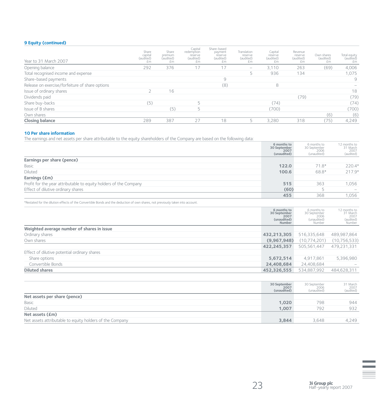### **9 Equity (continued)**

| Year to 31 March 2007                           | Share<br>capital<br>(audited)<br>£m | Share<br>premium<br>(audited)<br>£m | Capital<br>redemption<br>reserve<br>(audited)<br>£m | Share-based<br>payment<br>reserve<br>(audited)<br>£m | Translation<br>reserve<br>(audited)<br>£m | Capital<br>reserve<br>(audited)<br>£m | Revenue<br>reserve<br>(audited)<br>£m | Own shares<br>(audited)<br>£m | Total equity<br>(audited)<br>£m |
|-------------------------------------------------|-------------------------------------|-------------------------------------|-----------------------------------------------------|------------------------------------------------------|-------------------------------------------|---------------------------------------|---------------------------------------|-------------------------------|---------------------------------|
| Opening balance                                 | 292                                 | 376                                 | 17                                                  |                                                      | $\overline{\phantom{m}}$                  | 3.110                                 | 263                                   | (69)                          | 4,006                           |
| Total recognised income and expense             |                                     |                                     |                                                     |                                                      |                                           | 936                                   | 134                                   |                               | 1,075                           |
| Share-based payments                            |                                     |                                     |                                                     | 9                                                    |                                           |                                       |                                       |                               | 9                               |
| Release on exercise/forfeiture of share options |                                     |                                     |                                                     | (8)                                                  |                                           | 8                                     |                                       |                               |                                 |
| Issue of ordinary shares                        |                                     | 16                                  |                                                     |                                                      |                                           |                                       |                                       |                               | 18                              |
| Dividends paid                                  |                                     |                                     |                                                     |                                                      |                                           |                                       | (79)                                  |                               | (79)                            |
| Share buy-backs                                 | (5)                                 |                                     |                                                     |                                                      |                                           | (74)                                  |                                       |                               | (74)                            |
| Issue of B shares                               |                                     | (5)                                 | 5                                                   |                                                      |                                           | (700)                                 |                                       |                               | (700)                           |
| Own shares                                      |                                     |                                     |                                                     |                                                      |                                           |                                       |                                       | (6)                           | (6)                             |
| <b>Closing balance</b>                          | 289                                 | 387                                 | 27                                                  | 18                                                   |                                           | 3.280                                 | 318                                   | (75)                          | 4,249                           |

#### **10 Per share information**

The earnings and net assets per share attributable to the equity shareholders of the Company are based on the following data:

|                                                                   | 6 months to<br>30 September<br>2007<br>(unaudited) | 6 months to<br>30 September<br>2006<br>(unaudited) | 12 months to<br>31 March<br>2007<br>(audited) |
|-------------------------------------------------------------------|----------------------------------------------------|----------------------------------------------------|-----------------------------------------------|
| Earnings per share (pence)                                        |                                                    |                                                    |                                               |
| Basic                                                             | 122.0                                              | $71.8*$                                            | $220.4*$                                      |
| Diluted                                                           | 100.6                                              | 68.8*                                              | $217.9*$                                      |
| Earnings (£m)                                                     |                                                    |                                                    |                                               |
| Profit for the year attributable to equity holders of the Company | 515                                                | 363                                                | 1,056                                         |
| Effect of dilutive ordinary shares                                | (60)                                               |                                                    |                                               |
|                                                                   | 455                                                | 368                                                | 1,056                                         |

\*Restated for the dilution effects of the Convertible Bonds and the deduction of own shares, not previously taken into account.

|                                              | 6 months to<br>30 September<br>2007<br>(unaudited)<br>Number | 6 months to<br>30 September<br>2006<br>(unaudited)<br>Number | 12 months to<br>31 March<br>2007<br>(audited)<br>Number |
|----------------------------------------------|--------------------------------------------------------------|--------------------------------------------------------------|---------------------------------------------------------|
| Weighted average number of shares in issue   |                                                              |                                                              |                                                         |
| Ordinary shares                              | 432,213,305                                                  | 516,335,648                                                  | 489,987,864                                             |
| Own shares                                   | (9,967,948)                                                  | (10, 774, 201)                                               | (10, 756, 533)                                          |
|                                              | 422,245,357                                                  | 505,561,447                                                  | 479,231,331                                             |
| Effect of dilutive potential ordinary shares |                                                              |                                                              |                                                         |
| Share options                                | 5,672,514                                                    | 4,917,861                                                    | 5,396,980                                               |
| Convertible Bonds                            | 24,408,684                                                   | 24,408,684                                                   |                                                         |
| <b>Diluted shares</b>                        | 452,326,555                                                  | 534,887,992                                                  | 484,628,311                                             |

|                                                          | 30 September<br>2007<br>(unaudited) | 30 September<br>2006<br>(unaudited) | 31 March<br>2007<br>(audited) |
|----------------------------------------------------------|-------------------------------------|-------------------------------------|-------------------------------|
| Net assets per share (pence)                             |                                     |                                     |                               |
| Basic                                                    | 1,020                               | 798                                 | 944                           |
| Diluted                                                  | 1.007                               | 792                                 | 932                           |
| Net assets (£m)                                          |                                     |                                     |                               |
| Net assets attributable to equity holders of the Company | 3.844                               | 3.648                               | 4,249                         |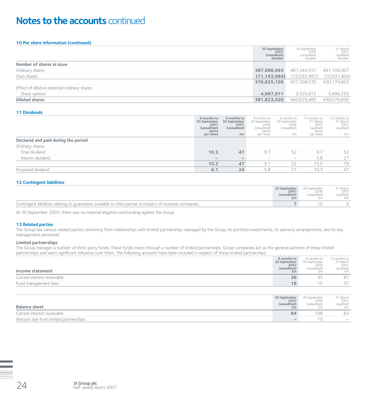# **Notes to the accounts** continued

#### **10 Per share information (continued)**

|                                              | 30 September<br>2007<br>(unaudited)<br>Number | 30 September<br>2006<br>(unaudited)<br>Number | 31 March<br>2007<br>(audited)<br>Number |
|----------------------------------------------|-----------------------------------------------|-----------------------------------------------|-----------------------------------------|
| Number of shares in issue                    |                                               |                                               |                                         |
| Ordinary shares                              | 387,988,093                                   | 467,344,551                                   | 461,106,007                             |
| Own shares                                   | (11, 162, 984)                                | (10,035,981)                                  | (10,931,404)                            |
|                                              | 376,825,109                                   | 457.308.570                                   | 450,174,603                             |
| Effect of dilutive potential ordinary shares |                                               |                                               |                                         |
| Share options                                | 4,997,911                                     | 3,320,915                                     | 5,896,253                               |
| <b>Diluted shares</b>                        | 381,823,020                                   | 460.629.485                                   | 456,070,856                             |

#### **11 Dividends**

|                                     | 6 months to<br>30 September<br>2007<br>(unaudited)<br>pence<br>per share | 6 months to<br>30 September<br>2007<br>(unaudited)<br>£m | 6 months to<br>30 September<br>2006<br>(unaudited)<br>pence<br>per share | 6 months to<br>30 September<br>2006<br>(unaudited)<br>£m | 12 months to<br>31 March<br>2007<br>(audited)<br>pence<br>per share | 12 months to<br>31 March<br>2007<br>(audited)<br>£m |
|-------------------------------------|--------------------------------------------------------------------------|----------------------------------------------------------|--------------------------------------------------------------------------|----------------------------------------------------------|---------------------------------------------------------------------|-----------------------------------------------------|
| Declared and paid during the period |                                                                          |                                                          |                                                                          |                                                          |                                                                     |                                                     |
| Ordinary shares                     |                                                                          |                                                          |                                                                          |                                                          |                                                                     |                                                     |
| Final dividend                      | 10.3                                                                     | 47                                                       | 9.7                                                                      | 52                                                       | 9.7                                                                 | 52                                                  |
| Interim dividend                    | $\overline{\phantom{a}}$                                                 |                                                          | $\overline{\phantom{a}}$                                                 | $\overline{\phantom{m}}$                                 | 5.8                                                                 | 27                                                  |
|                                     | 10.3                                                                     | 47                                                       | 9.7                                                                      | 52                                                       | 15.5                                                                | 79                                                  |
| Proposed dividend                   | 6.1                                                                      | 24                                                       | 5.8                                                                      | 27                                                       | 10.3                                                                | 47                                                  |

#### **12 Contingent liabilities**

|                                                                                                           | 30 September<br>2007<br>(unaudited)<br>£m | 30 September<br>2006<br>(unaudited)<br>£m | <sup>2</sup> 1 March<br>2007<br>(audited)<br>£m |
|-----------------------------------------------------------------------------------------------------------|-------------------------------------------|-------------------------------------------|-------------------------------------------------|
| Contingent liabilities relating to quarantees available to third parties in respect of investee companies |                                           |                                           |                                                 |

At 30 September 2007, there was no material litigation outstanding against the Group.

#### **13 Related parties**

The Group has various related parties stemming from relationships with limited partnerships managed by the Group, its portfolio investments, its advisory arrangements, and its key management personnel.

#### **Limited partnerships**

The Group manages a number of third-party funds. These funds invest through a number of limited partnerships. Group companies act as the general partners of these limited partnerships and exert significant influence over them. The following amounts have been included in respect of these limited partnerships:

| Income statement            | 6 months to<br>30 September<br>2007<br>(unaudited)<br>£m | 6 months to<br>30 September<br>2006<br>(unaudited)<br>£m | 12 months to<br>31 March<br>2007<br>(audited)<br>£m |
|-----------------------------|----------------------------------------------------------|----------------------------------------------------------|-----------------------------------------------------|
| Carried interest receivable | 36                                                       | マビ<br>- -                                                | 81                                                  |
| Fund management fees        | 18                                                       |                                                          |                                                     |

| <b>Balance sheet</b>                 | 30 September<br>2007<br>(unaudited)<br>£m | 30 September<br>2006<br>(unaudited) | 31 March<br>2007<br>(audited)<br>£m |
|--------------------------------------|-------------------------------------------|-------------------------------------|-------------------------------------|
| Carried interest receivable          | 94                                        | 108                                 | 83                                  |
| Amount due from limited partnerships | $\overline{\phantom{a}}$                  |                                     | $\overline{\phantom{0}}$            |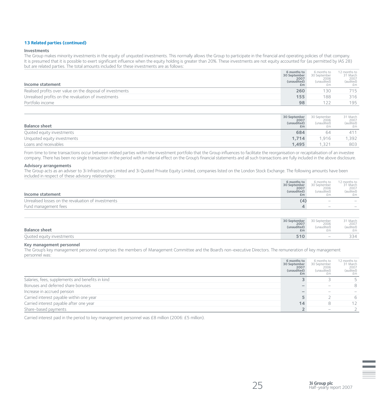#### **13 Related parties (continued)**

#### **Investments**

The Group makes minority investments in the equity of unquoted investments. This normally allows the Group to participate in the financial and operating policies of that company. It is presumed that it is possible to exert significant influence when the equity holding is greater than 20%. These investments are not equity accounted for (as permitted by IAS 28) but are related parties. The total amounts included for these investments are as follows:

| Income statement                                           | 6 months to<br>30 September<br>2007<br>(unaudited) | 6 months to<br>30 September<br>2006<br>(unaudited) | 12 months to<br>31 March<br>2007<br>(audited)<br>fm. |
|------------------------------------------------------------|----------------------------------------------------|----------------------------------------------------|------------------------------------------------------|
| Realised profits over value on the disposal of investments | 260                                                | 130                                                | 715                                                  |
| Unrealised profits on the revaluation of investments       | 155                                                | 188                                                | 316                                                  |
| Portfolio income                                           | 98                                                 | 1つつ                                                | 195                                                  |

| <b>Balance sheet</b>        | 30 September<br>2007<br>(unaudited)<br>£m | 30 September<br>2006<br>(unaudited)<br>£m | 31 March<br>$2007$<br>(audited)<br>£m |
|-----------------------------|-------------------------------------------|-------------------------------------------|---------------------------------------|
| Quoted equity investments   | 684                                       | 64                                        | 411                                   |
| Unquoted equity investments | 1.714                                     | ,916                                      | ,392                                  |
| Loans and receivables       | 1.495                                     | .321                                      | 803                                   |

From time to time transactions occur between related parties within the investment portfolio that the Group influences to facilitate the reorganisation or recapitalisation of an investee company. There has been no single transaction in the period with a material effect on the Group's financial statements and all such transactions are fully included in the above disclosure.

#### **Advisory arrangements**

The Group acts as an adviser to 3i Infrastructure Limited and 3i Quoted Private Equity Limited, companies listed on the London Stock Exchange. The following amounts have been included in respect of these advisory relationships:

| 30 September<br>Income statement                    | 2007<br>(unaudited)<br>£m | 2006<br>(unaudited)<br>£m | 2007<br>(audited)<br>£m |
|-----------------------------------------------------|---------------------------|---------------------------|-------------------------|
| Unrealised losses on the revaluation of investments | (4)                       | $\overline{\phantom{a}}$  |                         |
| Fund management fees                                | 4                         | $\overline{\phantom{a}}$  |                         |

| <b>Balance sheet</b>      | 30 September | 30 September | 31 March  |
|---------------------------|--------------|--------------|-----------|
|                           | 2007         | 2006         | 2007      |
|                           | (unaudited)  | (unaudited)  | (audited) |
|                           | £m           | £m           | £m.       |
| Quoted equity investments | 510          | $\sim$       | २⊿        |

#### **Key management personnel**

The Group's key management personnel comprises the members of Management Committee and the Board's non-executive Directors. The remuneration of key management personnel was:

|                                                  | 6 months to<br>30 September<br>2007<br>(unaudited)<br>£m | 6 months to<br>30 September<br>2006<br>(unaudited) | 12 months to<br>31 March<br>2007<br>(audited)<br>fm. |
|--------------------------------------------------|----------------------------------------------------------|----------------------------------------------------|------------------------------------------------------|
| Salaries, fees, supplements and benefits in kind |                                                          |                                                    |                                                      |
| Bonuses and deferred share bonuses               |                                                          |                                                    | 8                                                    |
| Increase in accrued pension                      |                                                          |                                                    |                                                      |
| Carried interest payable within one year         |                                                          |                                                    | 6                                                    |
| Carried interest payable after one year          | 14                                                       | 8                                                  |                                                      |
| Share-based payments                             |                                                          |                                                    |                                                      |

Carried interest paid in the period to key management personnel was £8 million (2006: £5 million).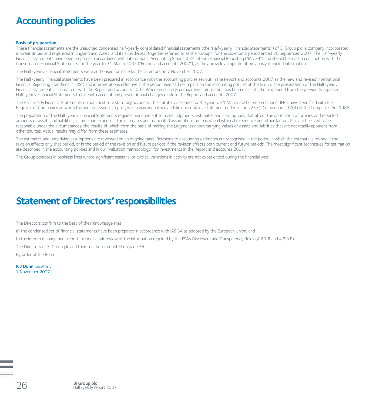# **Accounting policies**

#### **Basis of preparation**

These financial statements are the unaudited condensed half-yearly consolidated financial statements (the "Half-yearly Financial Statements") of 3i Group plc, a company incorporated in Great Britain and registered in England and Wales, and its subsidiaries (together referred to as the "Group") for the six-month period ended 30 September 2007. The Half-yearly Financial Statements have been prepared in accordance with International Accounting Standard 34 Interim Financial Reporting ("IAS 34") and should be read in conjunction with the Consolidated Financial Statements for the year to 31 March 2007 ("Report and accounts 2007"), as they provide an update of previously reported information.

The Half-yearly Financial Statements were authorised for issue by the Directors on 7 November 2007.

The Half-yearly Financial Statements have been prepared in accordance with the accounting policies set out in the Report and accounts 2007 as the new and revised International Financial Reporting Standards ("IFRS") and interpretations effective in the period have had no impact on the accounting policies of the Group. The presentation of the Half-yearly Financial Statements is consistent with the Report and accounts 2007. Where necessary, comparative information has been reclassified or expanded from the previously reported Half-yearly Financial Statements to take into account any presentational changes made in the Report and accounts 2007.

The Half-yearly Financial Statements do not constitute statutory accounts. The statutory accounts for the year to 31 March 2007, prepared under IFRS, have been filed with the Registrar of Companies on which the auditors issued a report, which was unqualified and did not contain a statement under section 237(2) or section 237(3) of the Companies Act 1985.

The preparation of the Half-yearly Financial Statements requires management to make judgments, estimates and assumptions that affect the application of policies and reported amounts of assets and liabilities, income and expenses. The estimates and associated assumptions are based on historical experience and other factors that are believed to be reasonable under the circumstances, the results of which form the basis of making the judgments about carrying values of assets and liabilities that are not readily apparent from other sources. Actual results may differ from these estimates.

The estimates and underlying assumptions are reviewed on an ongoing basis. Revisions to accounting estimates are recognised in the period in which the estimate is revised if the revision affects only that period, or in the period of the revision and future periods if the revision affects both current and future periods. The most significant techniques for estimation are described in the accounting policies and in our "valuation methodology" for investments in the Report and accounts 2007.

The Group operates in business lines where significant seasonal or cyclical variations in activity are not experienced during the financial year.

# **Statement of Directors' responsibilities**

The Directors confirm to the best of their knowledge that:

a) the condensed set of financial statements have been prepared in accordance with IAS 34 as adopted by the European Union; and

b) the interim management report includes a fair review of the information required by the FSA's Disclosure and Transparency Rules (4.2.7 R and 4.2.8 R).

The Directors of 3i Group plc and their functions are listed on page 36.

By order of the Board

**K J Dunn** Secretary 7 November 2007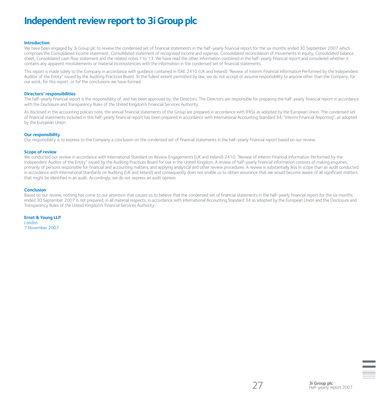# **Independent review report to 3i Group plc**

#### **Introduction**

We have been engaged by 3i Group plc to review the condensed set of financial statements in the half-yearly financial report for the six months ended 30 September 2007 which comprises the Consolidated income statement, Consolidated statement of recognised income and expense, Consolidated reconciliation of movements in equity, Consolidated balance sheet, Consolidated cash flow statement and the related notes 1 to 13. We have read the other information contained in the half-yearly financial report and considered whether it contains any apparent misstatements or material inconsistencies with the information in the condensed set of financial statements.

This report is made solely to the Company in accordance with guidance contained in ISRE 2410 (UK and Ireland) "Review of Interim Financial Information Performed by the Independent Auditor of the Entity" issued by the Auditing Practices Board. To the fullest extent permitted by law, we do not accept or assume responsibility to anyone other than the Company, for our work, for this report, or for the conclusions we have formed.

#### **Directors' responsibilities**

The half-yearly financial report is the responsibility of, and has been approved by, the Directors. The Directors are responsible for preparing the half-yearly financial report in accordance with the Disclosure and Transparency Rules of the United Kingdom's Financial Services Authority.

As disclosed in the accounting policies note, the annual financial statements of the Group are prepared in accordance with IFRSs as adopted by the European Union. The condensed set of financial statements included in this half-yearly financial report has been prepared in accordance with International Accounting Standard 34, "Interim Financial Reporting", as adopted by the European Union.

#### **Our responsibility**

Our responsibility is to express to the Company a conclusion on the condensed set of financial statements in the half-yearly financial report based on our review.

#### **Scope of review**

We conducted our review in accordance with International Standard on Review Engagements (UK and Ireland) 2410, "Review of Interim Financial Information Performed by the Independent Auditor of the Entity" issued by the Auditing Practices Board for use in the United Kingdom. A review of half-yearly financial information consists of making enquiries, primarily of persons responsible for financial and accounting matters, and applying analytical and other review procedures. A review is substantially less in scope than an audit conducted in accordance with International Standards on Auditing (UK and Ireland) and consequently does not enable us to obtain assurance that we would become aware of all significant matters that might be identified in an audit. Accordingly, we do not express an audit opinion.

#### **Conclusion**

Based on our review, nothing has come to our attention that causes us to believe that the condensed set of financial statements in the half-yearly financial report for the six months ended 30 September 2007 is not prepared, in all material respects, in accordance with International Accounting Standard 34 as adopted by the European Union and the Disclosure and Transparency Rules of the United Kingdom's Financial Services Authority.

**Ernst & Young LLP** London 7 November 2007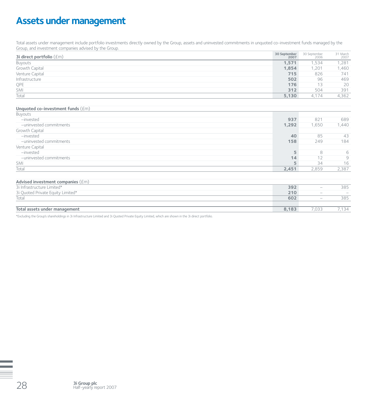# **Assets under management**

Total assets under management include portfolio investments directly owned by the Group, assets and uninvested commitments in unquoted co-investment funds managed by the Group, and investment companies advised by the Group.

| 3i direct portfolio $(fm)$ | 30 September<br>2007 | 30 September<br>2006 | 31 March<br>2007 |
|----------------------------|----------------------|----------------------|------------------|
| Buyouts                    | 1,571                | 1.534                | 1,281            |
| Growth Capital             | 1,854                | 1,201                | 1,460            |
| Venture Capital            | 715                  | 826                  | 741              |
| Infrastructure             | 502                  | 96                   | 469              |
| QPE                        | 176                  | 13                   | 20               |
| SMI                        | 312                  | 504                  | 391              |
| Total                      | 5,130                | 4.174                | 4,362            |

### **Unquoted co-investment funds** (£m)

| Buyouts                 |       |       |       |
|-------------------------|-------|-------|-------|
| -invested               | 937   | 821   | 689   |
| -uninvested commitments | 1,292 | 1,650 | 1,440 |
| Growth Capital          |       |       |       |
| -invested               | 40    | 85    | 43    |
| -uninvested commitments | 158   | 249   | 184   |
| Venture Capital         |       |       |       |
| -invested               |       | 8     | 6     |
| -uninvested commitments | 14    |       | Q     |
| SMI                     |       | 34    | 16    |
| Total                   | 2,451 | 2.859 | 2,387 |

#### **Advised investment companies** (£m)

| 3i Infrastructure Limited*        | 392   |                          | 385                            |
|-----------------------------------|-------|--------------------------|--------------------------------|
| 3i Quoted Private Equity Limited* | 210   | $\overline{\phantom{a}}$ | $\overline{\phantom{a}}$       |
| Total                             | 602   | $\overline{\phantom{a}}$ | 385                            |
|                                   |       |                          |                                |
| Total assets under management     | 8.183 | 7.033                    | ≺⊿<br>$\overline{\phantom{0}}$ |

\*Excluding the Group's shareholdings in 3i Infrastructure Limited and 3i Quoted Private Equity Limited, which are shown in the 3i direct portfolio.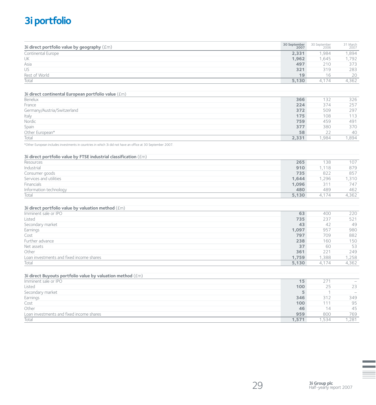# **3i portfolio**

| 3i direct portfolio value by geography $(\text{fm})$                          | 30 September<br>2007 | 30 September<br>2006 | 31 March<br>2007 |
|-------------------------------------------------------------------------------|----------------------|----------------------|------------------|
| Continental Europe                                                            | 2,331                | 1,984                | 1,894            |
| UK                                                                            | 1,962                | 1,645                | 1,792            |
| Asia                                                                          | 497                  | 210                  | 373              |
| US                                                                            | 321                  | 319                  | 283              |
| Rest of World                                                                 | 19                   | 16                   | 20               |
| Total                                                                         | 5,130                | 4,174                | 4,362            |
| 3i direct continental European portfolio value (£m)                           |                      |                      |                  |
| Benelux                                                                       | 366                  | 132                  | 326              |
| France                                                                        | 224                  | 374                  | 257              |
| Germany/Austria/Switzerland                                                   | 372                  | 509                  | 297              |
| Italy                                                                         | 175                  | 108                  | 113              |
| Nordic                                                                        | 759                  | 459                  | 491              |
| Spain                                                                         | 377                  | 380                  | 370              |
| Other European*                                                               | 58                   | 22                   | 40               |
| Total                                                                         | 2,331                | 1,984                | 1,894            |
| 3i direct portfolio value by FTSE industrial classification (£m)<br>Resources | 265                  | 138                  | 107              |
|                                                                               |                      |                      |                  |
| Industrial                                                                    | 910                  | 1,118                | 879              |
| Consumer goods                                                                | 735                  | 822                  | 857              |
| Services and utilities<br>Financials                                          | 1,644                | 1,296<br>311         | 1,310            |
|                                                                               | 1,096<br>480         | 489                  | 747<br>462       |
| Information technology<br>Total                                               | 5,130                | 4,174                | 4,362            |
|                                                                               |                      |                      |                  |
| 3i direct portfolio value by valuation method (£m)                            |                      |                      |                  |
| Imminent sale or IPO                                                          | 63                   | 400                  | 220              |
| Listed                                                                        | 735                  | 237                  | 521              |
| Secondary market                                                              | 43                   | 42                   | 49               |
| Earnings                                                                      | 1,097                | 957                  | 980              |
| Cost                                                                          | 797                  | 709                  | 882              |
| Further advance                                                               | 238                  | 160                  | 150              |
| Net assets                                                                    | 37                   | 60                   | 53               |
| Other                                                                         | 361                  | 221                  | 249              |
| Loan investments and fixed income shares                                      | 1,759                | 1.388                | 1,258            |

### **3i direct Buyouts portfolio value by valuation method** (£m)

| Imminent sale or IPO                     | 15    | 271  | $\overline{\phantom{0}}$ |
|------------------------------------------|-------|------|--------------------------|
| Listed                                   | 100   | 25   | 23                       |
| Secondary market                         |       |      | $\overline{\phantom{a}}$ |
| Earnings                                 | 346   | 312  | 349                      |
| Cost                                     | 100   | 111  | 95                       |
| Other                                    | 46    | 14   | 45                       |
| Loan investments and fixed income shares | 959   | 800  | 769                      |
| Total                                    | 1.571 | .534 | 1,281                    |

Total **5,130** 4,174 4,362

**29 3i Group plc**<br>Half-yearly report 2007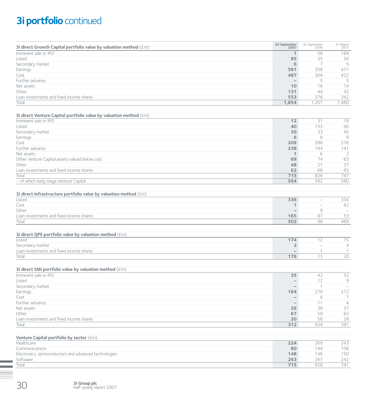# **3i portfolio** continued

| 3i direct Growth Capital portfolio value by valuation method (£m)  | 30 September<br>2007     | 30 September<br>2006     | 31 March<br>2007 |
|--------------------------------------------------------------------|--------------------------|--------------------------|------------------|
| Imminent sale or IPO                                               | 1                        | 56                       | 169              |
| Listed                                                             | 85                       | 35                       | 50               |
| Secondary market                                                   | 6                        | 7                        | 5                |
| Earnings                                                           | 581                      | 358                      | 411              |
| Cost                                                               | 487                      | 304                      | 422              |
| Further advance                                                    | $\overline{\phantom{0}}$ | 5                        | 5                |
| Net assets                                                         | 10                       | 16                       | 14               |
| Other                                                              | 131                      | 44                       | 42               |
| Loan investments and fixed income shares                           | 553                      | 376                      | 342              |
| Total                                                              | 1,854                    | 1,201                    | 1,460            |
| 3i direct Venture Capital portfolio value by valuation method (£m) |                          |                          |                  |
| Imminent sale or IPO                                               | 12                       | 31                       | 19               |
| Listed                                                             | 40                       | 153                      | 90               |
| Secondary market                                                   | 30                       | 33                       | 40               |
| Earnings                                                           | 6                        | 8                        | 8                |
| Cost                                                               | 209                      | 288                      | 276              |
| Further advance                                                    | 238                      | 144                      | 141              |
| Net assets                                                         | 1                        | 6                        | 2                |
| Other Venture Capital assets valued below cost                     | 69                       | 74                       | 63               |
| Other                                                              | 48                       | 21                       | 37               |
| Loan investments and fixed income shares                           | 62                       | 68                       | 65               |
| Total                                                              | 715                      | 826                      | 741              |
| - of which early stage Venture Capital                             | 564                      | 592                      | 580              |
| 3i direct Infrastructure portfolio value by valuation method (£m)  |                          |                          |                  |
| Listed                                                             | 336                      | $\overline{\phantom{m}}$ | 334              |
| $C_0$ ct                                                           | 4                        |                          | $Q \bigcap$      |

| Cost                                     |                          | $\overline{\phantom{a}}$ | OZ                       |
|------------------------------------------|--------------------------|--------------------------|--------------------------|
| Other                                    | $\overline{\phantom{a}}$ |                          | $\overline{\phantom{a}}$ |
| Loan investments and fixed income shares | 165                      |                          | --                       |
| Total                                    | 502                      | $\backsim$ $\backsim$    | 469                      |

| 3i direct QPE portfolio value by valuation method $(fm)$ |                          |                          |          |
|----------------------------------------------------------|--------------------------|--------------------------|----------|
| Listed                                                   | 174                      |                          |          |
| Secondary market                                         |                          | $\overline{\phantom{a}}$ |          |
| Loan investments and fixed income shares                 | $\overline{\phantom{a}}$ |                          |          |
| Total                                                    | 176                      |                          | $\Omega$ |

### **3i direct SMI portfolio value by valuation method** (£m)

| Imminent sale or IPO                     | 35  | 42  | 32                       |
|------------------------------------------|-----|-----|--------------------------|
| Listed                                   |     |     | 9                        |
| Secondary market                         |     |     | $\overline{\phantom{0}}$ |
| Earnings                                 | 164 | 279 | 212                      |
| Cost                                     |     |     |                          |
| Further advance                          |     | 11  | $\overline{4}$           |
| Net assets                               | 26  | 38  | 37                       |
| Other                                    | 67  | 59  | 62                       |
| Loan investments and fixed income shares | 20  | 56  | 28                       |
| Total                                    | 312 | 504 | 391                      |

### **Venture Capital portfolio by sector** (£m)

| Healthcare                                            | 224 | 269 | 243 |
|-------------------------------------------------------|-----|-----|-----|
| Communications                                        | 80  | 144 | 106 |
| Electronics, semiconductors and advanced technologies | 148 | 146 | 150 |
| Software                                              | 263 | 267 | 242 |
| Total                                                 | 715 | 826 | 741 |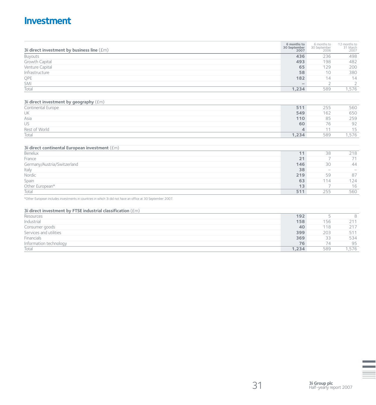# **Investment**

| 3i direct investment by business line $(\text{fm})$                                                        | 6 months to<br>30 September<br>2007 | 6 months to<br>30 September<br>2006 | 12 months to<br>31 March<br>2007 |
|------------------------------------------------------------------------------------------------------------|-------------------------------------|-------------------------------------|----------------------------------|
| Buyouts                                                                                                    | 436                                 | 236                                 | 498                              |
| Growth Capital                                                                                             | 493                                 | 198                                 | 482                              |
| Venture Capital                                                                                            | 65                                  | 129                                 | 200                              |
| Infrastructure                                                                                             | 58                                  | 10                                  | 380                              |
| QPE                                                                                                        | 182                                 | 14                                  | 14                               |
| SMI                                                                                                        | $-$                                 | $\overline{2}$                      | $\overline{2}$                   |
| Total                                                                                                      | 1,234                               | 589                                 | 1,576                            |
| 3i direct investment by geography (£m)                                                                     |                                     |                                     |                                  |
| Continental Europe                                                                                         | 511                                 | 255                                 | 560                              |
| UK                                                                                                         | 549                                 | 162                                 | 650                              |
| Asia                                                                                                       | 110                                 | 85                                  | 259                              |
| US                                                                                                         | 60                                  | 76                                  | 92                               |
| Rest of World                                                                                              | 4                                   | 11                                  | 15                               |
| Total                                                                                                      | 1,234                               | 589                                 | 1,576                            |
|                                                                                                            |                                     |                                     |                                  |
| 3i direct continental European investment (£m)                                                             |                                     |                                     |                                  |
| Benelux                                                                                                    | 11                                  | 38                                  | 218                              |
| France                                                                                                     | 21                                  | $\overline{7}$                      | 71                               |
| Germany/Austria/Switzerland                                                                                | 146                                 | 30                                  | 44                               |
| Italy                                                                                                      | 38                                  | $\overline{\phantom{0}}$            | $\overline{\phantom{a}}$         |
| Nordic                                                                                                     | 219                                 | 59                                  | 87                               |
| Spain                                                                                                      | 63                                  | 114                                 | 124                              |
| Other European*                                                                                            | 13                                  | 7                                   | 16                               |
| Total                                                                                                      | 511                                 | 255                                 | 560                              |
| *Other European includes investments in countries in which 3i did not have an office at 30 September 2007. |                                     |                                     |                                  |
| 3i direct investment by FTSE industrial classification (£m)                                                |                                     |                                     |                                  |
| Resources                                                                                                  | 192                                 | 5                                   | 8                                |
| Industrial                                                                                                 | 158                                 | 156                                 | 211                              |
| Consumer goods                                                                                             | 40                                  | 118                                 | 217                              |
| Services and utilities                                                                                     | 399                                 | 203                                 | 511                              |
| Financials                                                                                                 | 369                                 | 33                                  | 534                              |
| Information technology                                                                                     | 76                                  | 74                                  | 95                               |

Total **1,234** 589 1,576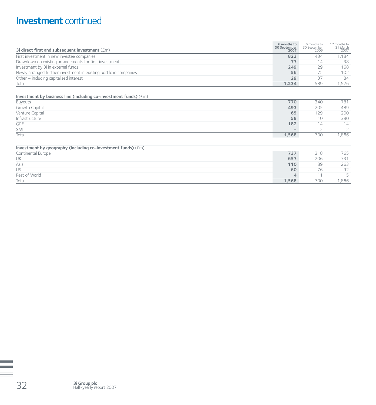# **Investment** continued

| 3i direct first and subsequent investment $(fm)$                  | 6 months to<br>30 September<br>2007 | 6 months to<br>30 September<br>2006 | 12 months to<br>31 March<br>2007 |
|-------------------------------------------------------------------|-------------------------------------|-------------------------------------|----------------------------------|
| First investment in new investee companies                        | 823                                 | 434                                 | 1.184                            |
| Drawdown on existing arrangements for first investments           | 77                                  | 14                                  | 38                               |
| Investment by 3i in external funds                                | 249                                 | 29                                  | 168                              |
| Newly arranged further investment in existing portfolio companies | 56                                  | 75                                  | 102                              |
| Other – including capitalised interest                            | 29                                  | 37                                  | 84                               |
| Total                                                             | 1.234                               | 589                                 | 1.576                            |

| Investment by business line (including co-investment funds) $(\text{fm})$ |       |     |      |
|---------------------------------------------------------------------------|-------|-----|------|
| Buyouts                                                                   | 770   | 340 | 781  |
| Growth Capital                                                            | 493   | 205 | 489  |
| Venture Capital                                                           | 65    | 129 | 200  |
| Infrastructure                                                            | 58    | 10  | 380  |
| QPE                                                                       | 182   | 14  | 14   |
| SMI                                                                       |       |     |      |
| Total                                                                     | 1.568 | 700 | 866, |
|                                                                           |       |     |      |

| Investment by geography (including co-investment funds) $(\text{fm})$ |      |     |      |
|-----------------------------------------------------------------------|------|-----|------|
| Continental Europe                                                    | 737  | 318 | 765  |
| UK                                                                    | 657  | 206 | 731  |
| Asia                                                                  | 110  | 89  | 263  |
| US                                                                    | 60   | 76  | 92   |
| Rest of World                                                         | 4    |     | 15   |
| Total                                                                 | .568 | 700 | ,866 |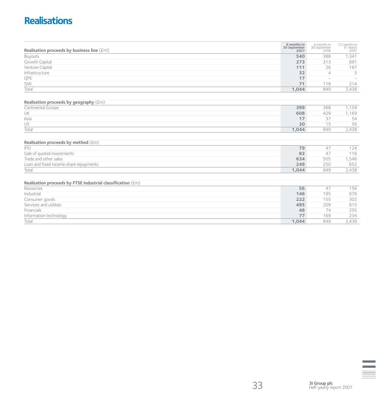# **Realisations**

| Realisation proceeds by business line $(\text{fm})$         | 6 months to<br>30 September<br>2007 | 6 months to<br>30 September<br>2006 | 12 months to<br>31 March<br>2007 |
|-------------------------------------------------------------|-------------------------------------|-------------------------------------|----------------------------------|
| Buyouts                                                     | 540                                 | 388                                 | 1,341                            |
| Growth Capital                                              | 273                                 | 313                                 | 691                              |
| Venture Capital                                             | 111                                 | 26                                  | 187                              |
| Infrastructure                                              | 32                                  | $\overline{4}$                      | 5                                |
| QPE                                                         | 17                                  | $\overline{\phantom{m}}$            |                                  |
| SMI                                                         | 71                                  | 118                                 | 214                              |
| Total                                                       | 1,044                               | 849                                 | 2,438                            |
| Realisation proceeds by geography (£m)                      |                                     |                                     |                                  |
| Continental Europe                                          | 399                                 | 368                                 | 1,159                            |
| UK                                                          | 608                                 | 429                                 | 1,169                            |
| Asia                                                        | 17                                  | 37                                  | 54                               |
| US                                                          | 20                                  | 15                                  | 56                               |
| Total                                                       | 1,044                               | 849                                 | 2,438                            |
| Realisation proceeds by method (£m)                         |                                     |                                     |                                  |
| <b>IPO</b>                                                  | 79                                  | 47                                  | 124                              |
| Sale of quoted investments                                  | 82                                  | 47                                  | 116                              |
| Trade and other sales                                       | 634                                 | 505                                 | 1,546                            |
| Loan and fixed income share repayments                      | 249                                 | 250                                 | 652                              |
| Total                                                       | 1,044                               | 849                                 | 2,438                            |
| Realisation proceeds by FTSE industrial classification (£m) |                                     |                                     |                                  |
| Resources                                                   | 56                                  | 47                                  | 156                              |
| Industrial                                                  | 146                                 | 195                                 | 676                              |
| Consumer goods                                              | 222                                 | 155                                 | 302                              |
| Services and utilities                                      | 495                                 | 209                                 | 815                              |
| Financials                                                  | 48                                  | 74                                  | 255                              |
| Information technology                                      | 77                                  | 169                                 | 234                              |
| Total                                                       | 1,044                               | 849                                 | 2,438                            |

 $\equiv$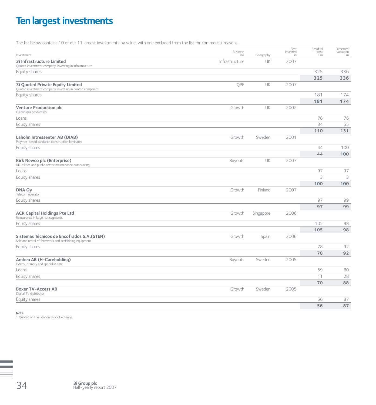# **Ten largest investments**

The list below contains 10 of our 11 largest investments by value, with one excluded from the list for commercial reasons.

| Investment                                                                                           | <b>Business</b><br>line | Geography       | First<br>invested<br>in | Residual<br>cost<br>£m | Directors'<br>valuation<br>£m |
|------------------------------------------------------------------------------------------------------|-------------------------|-----------------|-------------------------|------------------------|-------------------------------|
| <b>3i Infrastructure Limited</b><br>Quoted investment company, investing in infrastructure           | Infrastructure          | UK <sup>1</sup> | 2007                    |                        |                               |
| Equity shares                                                                                        |                         |                 |                         | 325                    | 336                           |
|                                                                                                      |                         |                 |                         | 325                    | 336                           |
| <b>3i Quoted Private Equity Limited</b><br>Quoted investment company, investing in quoted companies  | QPE                     | UK <sup>1</sup> | 2007                    |                        |                               |
| Equity shares                                                                                        |                         |                 |                         | 181                    | 174                           |
|                                                                                                      |                         |                 |                         | 181                    | 174                           |
| <b>Venture Production plc</b><br>Oil and gas production                                              | Growth                  | UK              | 2002                    |                        |                               |
| Loans                                                                                                |                         |                 |                         | 76                     | 76                            |
| Equity shares                                                                                        |                         |                 |                         | 34                     | 55                            |
|                                                                                                      |                         |                 |                         | 110                    | 131                           |
| Laholm Intressenter AB (DIAB)<br>Polymer-based sandwich construction laminates                       | Growth                  | Sweden          | 2001                    |                        |                               |
| Equity shares                                                                                        |                         |                 |                         | 44                     | 100                           |
|                                                                                                      |                         |                 |                         | 44                     | 100                           |
| Kirk Newco plc (Enterprise)<br>UK utilities and public sector maintenance outsourcing                | Buyouts                 | UK              | 2007                    |                        |                               |
| Loans                                                                                                |                         |                 |                         | 97                     | 97                            |
| Equity shares                                                                                        |                         |                 |                         | 3                      | 3                             |
|                                                                                                      |                         |                 |                         | 100                    | 100                           |
| <b>DNA Oy</b><br>Telecom operator                                                                    | Growth                  | Finland         | 2007                    |                        |                               |
| Equity shares                                                                                        |                         |                 |                         | 97                     | 99                            |
|                                                                                                      |                         |                 |                         | 97                     | 99                            |
| <b>ACR Capital Holdings Pte Ltd</b><br>Reinsurance in large risk segments                            | Growth                  | Singapore       | 2006                    |                        |                               |
| Equity shares                                                                                        |                         |                 |                         | 105                    | 98                            |
|                                                                                                      |                         |                 |                         | 105                    | 98                            |
| Sistemas Técnicos de Encofrados S.A. (STEN)<br>Sale and rental of formwork and scaffolding equipment | Growth                  | Spain           | 2006                    |                        |                               |
| Equity shares                                                                                        |                         |                 |                         | 78                     | 92                            |
|                                                                                                      |                         |                 |                         | 78                     | 92                            |
| Ambea AB (H-Careholding)<br>Elderly, primary and specialist care                                     | <b>Buyouts</b>          | Sweden          | 2005                    |                        |                               |
| Loans                                                                                                |                         |                 |                         | 59                     | 60                            |
| Equity shares                                                                                        |                         |                 |                         | 11                     | 28                            |
|                                                                                                      |                         |                 |                         | 70                     | 88                            |
| <b>Boxer TV-Access AB</b><br>Digital TV distributor                                                  | Growth                  | Sweden          | 2005                    |                        |                               |
| Equity shares                                                                                        |                         |                 |                         | 56                     | 87                            |
|                                                                                                      |                         |                 |                         | 56                     | 87                            |

**Note** 1 Quoted on the London Stock Exchange.

**3i Group plc**<br>Half-yearly report 2007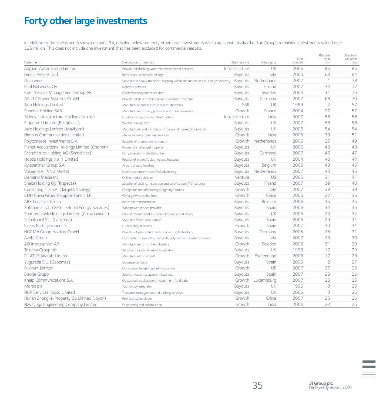# **Forty other large investments**

In addition to the investments shown on page 34, detailed below are forty other large investments which are substantially all of the Group's remaining investments valued over £25 million. This does not include one investment that has been excluded for commercial reasons.

| Investment                                     | Description of business                                                           | <b>Business line</b> | Geography         | First<br>invested | Residual<br>cost<br>£m | Directors'<br>valuation<br>£m |
|------------------------------------------------|-----------------------------------------------------------------------------------|----------------------|-------------------|-------------------|------------------------|-------------------------------|
| Anglian Water Group Limited                    | Provider of drinking water and waste water services                               | Infrastructure       | UK                | 2006              | 86                     | 86                            |
| Giochi Preziosi S.r.l.                         | Retailer and wholesaler of toys                                                   | <b>Buyouts</b>       | Italy             | 2005              | 63                     | 84                            |
| Dockwise                                       | Specialist in heavy transport shipping within the marine and oil and gas industry | Buyouts              | Netherlands       | 2007              | 1                      | 78                            |
| Eltel Networks Oy                              | Network services                                                                  | <b>Buyouts</b>       | Finland           | 2007              | 74                     | 77                            |
| Coor Service Management Group AB               | Facilities management services                                                    | Buyouts              | Sweden            | 2004              | 31                     | 75                            |
| DEUTZ Power Systems GmbH                       | Provider of decentralised power generation systems                                | <b>Buyouts</b>       | Germany           | 2007              | 68                     | 70                            |
| Tato Holdings Limited                          | Manufacture and sale of specialist chemicals                                      | <b>SMI</b>           | UK                | 1989              | $\overline{2}$         | 57                            |
| Senoble Holding SAS                            | Manufacturer of dairy products and chilled desserts                               | Growth               | France            | 2004              | 27                     | 57                            |
| 3i India Infrastructure Holdings Limited       | Fund investing in Indian infrastructure                                           | Infrastructure       | India             | 2007              | 56                     | 56                            |
| Emperor I Limited (Bestinvest)                 | Wealth management                                                                 | <b>Buyouts</b>       | UK                | 2007              | 56                     | 56                            |
| Jake Holdings Limited (Mayborn)                | Manufacturer and distributor of baby and household products                       | <b>Buyouts</b>       | UK                | 2006              | 54                     | 54                            |
| Nimbus Communications Limited                  | Media and entertainment services                                                  | Growth               | India             | 2005              | 39                     | 51                            |
| Polyconcept Investments B.V.                   | Supplier of promotional products                                                  | Growth               | Netherlands       | 2005              | 26                     | 49                            |
| Planet Acquisitions Holdings Limited (Chorion) | Owner of intellectual property                                                    | Buyouts              | UK                | 2006              | 48                     | 48                            |
| Scandferries Holding AG (Scandlines)           | Ferry operator in the Baltic Sea                                                  | Buyouts              | Germany           | 2007              | 45                     | 47                            |
| Hobbs Holdings No. 1 Limited                   | Retailer of women's clothing and footwear                                         | <b>Buyouts</b>       | UK                | 2004              | 40                     | 47                            |
| Aviapartner Group S.A.                         | Airport ground handling                                                           | Buyouts              | Belgium           | 2005              | 43                     | 45                            |
| Volnay B.V. (VNU Media)                        | Dutch recruitment classified advertising                                          | <b>Buyouts</b>       | Netherlands       | 2007              | 43                     | 45                            |
| Demand Media Inc                               | Online media publisher                                                            | Venture              | US                | 2006              | 31                     | 41                            |
| Sneca Holding Oy (Inspecta)                    | Supplier of testing, inspection and certification (TIC) services                  | Buyouts              | Finland           | 2007              | 39                     | 40                            |
| Consulting 1 S.p.A. (Targetti Sankey)          | Design and manufacturing of lighting fixtures                                     | Growth               | Italy             | 2007              | 38                     | 39                            |
| CDH China Growth Capital Fund II LP            | China growth capital fund                                                         | Growth               | China             | 2005              | 22                     | 36                            |
| <b>ABX Logistics Group</b>                     | Industrial transportation                                                         | Buyouts              | Belgium           | 2006              | 35                     | 35                            |
| Sofitandus S.L. (GES - Global Energy Services) | Wind power service provider                                                       | Buyouts              | Spain             | 2006              | 34                     | 35                            |
| Sparrowhawk Holdings Limited (Crown Media)     | UK and International TV channel business and library                              | <b>Buyouts</b>       | UK                | 2005              | 23                     | 34                            |
| Selbatoneil S.L. (La Sirena)                   | Specialist frozen food retailer                                                   | Buyouts              | Spain             | 2006              | 29                     | 31                            |
| Everis Participaciones S.L.                    | IT consulting business                                                            | Growth               | Spain             | 2007              | 30                     | 31                            |
| NORMA Group Holding GmbH                       | Provider of plastic and metal connecting technology                               | Buyouts              | Germany           | 2005              | 26                     | 31                            |
| Azelis Group                                   | Distributor of speciality chemicals, polymers and related services                | <b>Buyouts</b>       | Italy             | 2007              | 28                     | 30                            |
| Alö Intressenter AB                            | Manufacturer of front end loaders                                                 | Growth               | Sweden            | 2002              | 31                     | 29                            |
| Telecity Group plc                             | Services for internet service providers                                           | <b>Buyouts</b>       | UK                | 1998              | 17                     | 29                            |
| PILATUS Aircraft Limited                       | Manufacturer of aircraft                                                          | Growth               | Switzerland       | 2006              | 17                     | 28                            |
| Yugureda S.L. (Gebomsa)                        | Concrete pumping                                                                  | <b>Buyouts</b>       | Spain             | 2005              | 2                      | 27                            |
| Fulcrum Limited                                | Outsourced hedge fund administration                                              | Growth               | US                | 2007              | 27                     | 26                            |
| Daorje Grupo                                   | Spanish waste management business                                                 | Buyouts              | Spain             | 2007              | 25                     | 26                            |
| Kneip Communications S.A.                      | Outsourced publication of investment fund data                                    |                      | Growth Luxembourg | 2007              | 25                     | 26                            |
| Morse plc                                      | Technology integrator                                                             | Buyouts              | UK                | 1995              | 8                      | 26                            |
| NCP Services Topco Limited                     | Transport management and parking services                                         | Buyouts              | UK                | 2005              | 3                      | 26                            |
| Hunan Zhongkai Property Co Limited (Joyon)     | Real estate/developer                                                             | Growth               | China             | 2007              | 25                     | 25                            |
| Navayuga Engineering Company Limited           | Engineering and construction                                                      | Growth               | India             | 2006              | 23                     | 25                            |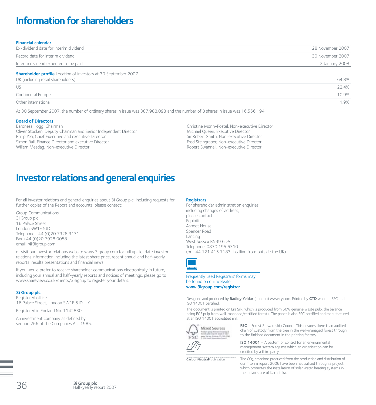# **Information for shareholders**

| <b>Financial calendar</b>                                                                                   |                  |
|-------------------------------------------------------------------------------------------------------------|------------------|
| Ex-dividend date for interim dividend                                                                       | 28 November 2007 |
| Record date for interim dividend                                                                            | 30 November 2007 |
| Interim dividend expected to be paid                                                                        | 2 January 2008   |
| <b>Shareholder profile</b> Location of investors at 30 September 2007<br>UK (including retail shareholders) | 64.8%            |
| US                                                                                                          | 22.4%            |
| <b>Continental Europe</b>                                                                                   | 10.9%            |
| Other international                                                                                         | 1.9%             |

At 30 September 2007, the number of ordinary shares in issue was 387,988,093 and the number of B shares in issue was 16,566,194.

#### **Board of Directors**

Baroness Hogg, Chairman Oliver Stocken, Deputy Chairman and Senior Independent Director Philip Yea, Chief Executive and executive Director Simon Ball, Finance Director and executive Director Willem Mesdag, Non-executive Director

Christine Morin-Postel, Non-executive Director Michael Queen, Executive Director Sir Robert Smith, Non-executive Director Fred Steingraber, Non-executive Director Robert Swannell, Non-executive Director

# **Investor relations and general enquiries**

For all investor relations and general enquiries about 3i Group plc, including requests for further copies of the Report and accounts, please contact:

Group Communications 3i Group plc 16 Palace Street London SW1E 5JD Telephone +44 (0)20 7928 3131 Fax +44 (0)20 7928 0058 email ir@3igroup.com

or visit our investor relations website www.3igroup.com for full up-to-date investor relations information including the latest share price, recent annual and half-yearly reports, results presentations and financial news.

If you would prefer to receive shareholder communications electronically in future, including your annual and half-yearly reports and notices of meetings, please go to www.shareview.co.uk/clients/3isignup to register your details.

#### **3i Group plc**

Registered office: 16 Palace Street, London SW1E 5JD, UK

Registered in England No. 1142830

An investment company as defined by section 266 of the Companies Act 1985.

#### **Registrars**

Telephone: 0870 195 6310<br>
(or +44 121 415 7183 if can<br>
( For shareholder administration enquiries. including changes of address, please contact: **Equiniti** Aspect House Spencer Road Lancing West Sussex BN99 6DA (or +44 121 415 7183 if calling from outside the UK)



Frequently used Registrars' forms may be found on our website **www.3igroup.com/registrar**

Designed and produced by **Radley Yeldar** (London) www.ry.com. Printed by **CTD** who are FSC and ISO 14001 certified.

The document is printed on Era Silk, which is produced from 50% genuine waste pulp, the balance being ECF pulp from well-managed/certified forests. The paper is also FSC certified and manufactured at an ISO 14001 accredited mill.

|                                        | <b>FSC</b> – Forest Stewardship Council. This ensures there is an audited<br>chain of custody from the tree in the well-managed forest through<br>to the finished document in the printing factory.                                            |
|----------------------------------------|------------------------------------------------------------------------------------------------------------------------------------------------------------------------------------------------------------------------------------------------|
| ISA 1400                               | ISO 14001 - A pattern of control for an environmental<br>management system against which an organisation can be<br>credited by a third party.                                                                                                  |
| CarbonNeutral <sup>®</sup> publication | The $CO2$ emissions produced from the production and distribution of<br>our Interim report 2006 have been neutralised through a project<br>which promotes the installation of solar water heating systems in<br>the Indian state of Karnataka. |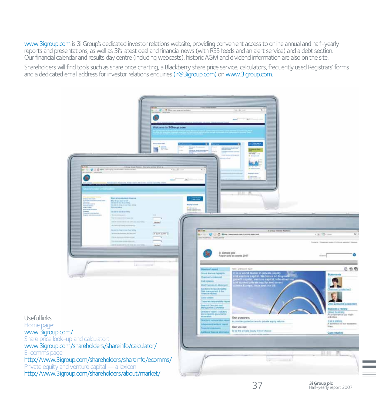www.3igroup.comis 3i Group's dedicated investor relations website, providing convenient access to online annual and half-yearly reports and presentations, as well as 3i's latest deal and financial news (with RSS feeds and an alert service) and a debt section. Our financial calendar and results day centre (including webcasts), historic AGM and dividend information are also on the site.

Shareholders will find tools such as share price charting, a Blackberry share price service, calculators, frequently used Registrars' forms and a dedicated email address for investor relations enquiries (ir@3igroup.com) on www.3igroup.com.